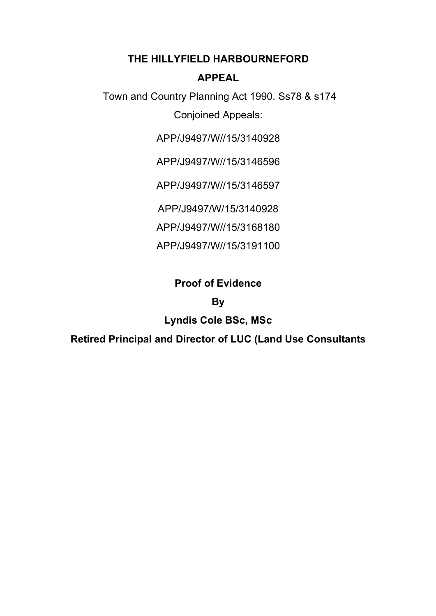## **THE HILLYFIELD HARBOURNEFORD**

## **APPEAL**

Town and Country Planning Act 1990. Ss78 & s174 Conjoined Appeals:

APP/J9497/W//15/3140928

APP/J9497/W//15/3146596

APP/J9497/W//15/3146597

APP/J9497/W/15/3140928

APP/J9497/W//15/3168180

APP/J9497/W//15/3191100

# **Proof of Evidence**

# **By**

# **Lyndis Cole BSc, MSc**

**Retired Principal and Director of LUC (Land Use Consultants**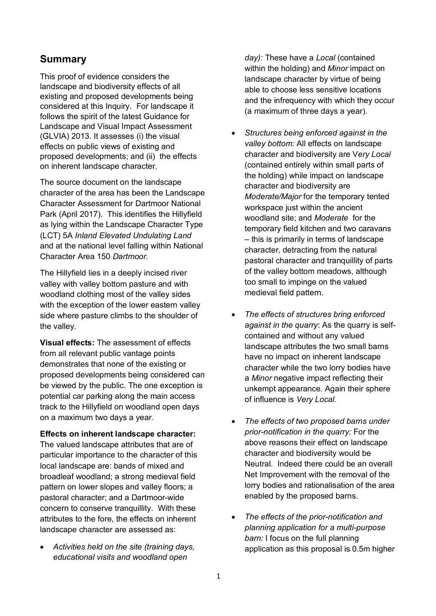## **Summary**

This proof of evidence considers the landscape and biodiversity effects of all existing and proposed developments being considered at this Inquiry. For landscape it follows the spirit of the latest Guidance for Landscape and Visual Impact Assessment (GLVIA) 2013. It assesses (i) the visual effects on public views of existing and proposed developments; and (ii) the effects on inherent landscape character.

The source document on the landscape character of the area has been the Landscape Character Assessment for Dartmoor National Park (April 2017). This identifies the Hillyfield as lying within the Landscape Character Type (LCT) 5A *Inland Elevated Undulating Land*  and at the national level falling within National Character Area 150 *Dartmoor.*

The Hillyfield lies in a deeply incised river valley with valley bottom pasture and with woodland clothing most of the valley sides with the exception of the lower eastern valley side where pasture climbs to the shoulder of the valley.

**Visual effects:** The assessment of effects from all relevant public vantage points demonstrates that none of the existing or proposed developments being considered can be viewed by the public. The one exception is potential car parking along the main access track to the Hillyfield on woodland open days on a maximum two days a year.

#### **Effects on inherent landscape character:**

The valued landscape attributes that are of particular importance to the character of this local landscape are: bands of mixed and broadleaf woodland; a strong medieval field pattern on lower slopes and valley floors; a pastoral character; and a Dartmoor-wide concern to conserve tranquillity. With these attributes to the fore, the effects on inherent landscape character are assessed as:

• *Activities held on the site (training days, educational visits and woodland open* 

*day):* These have a *Local* (contained within the holding) and *Minor* impact on landscape character by virtue of being able to choose less sensitive locations and the infrequency with which they occur (a maximum of three days a year).

- *Structures being enforced against in the valley bottom:* All effects on landscape character and biodiversity are V*ery Local* (contained entirely within small parts of the holding) while impact on landscape character and biodiversity are *Moderate/Major* for the temporary tented workspace just within the ancient woodland site; and *Moderate* for the temporary field kitchen and two caravans – this is primarily in terms of landscape character*,* detracting from the natural pastoral character and tranquillity of parts of the valley bottom meadows, although too small to impinge on the valued medieval field pattern.
- *The effects of structures bring enforced against in the quarry*: As the quarry is selfcontained and without any valued landscape attributes the two small barns have no impact on inherent landscape character while the two lorry bodies have a *Minor* negative impact reflecting their unkempt appearance. Again their sphere of influence is *Very Local.*
- *The effects of two proposed barns under prior-notification in the quarry:* For the above reasons their effect on landscape character and biodiversity would be Neutral. Indeed there could be an overall Net Improvement with the removal of the lorry bodies and rationalisation of the area enabled by the proposed barns.
- *The effects of the prior-notification and planning application for a multi-purpose barn:* I focus on the full planning application as this proposal is 0.5m higher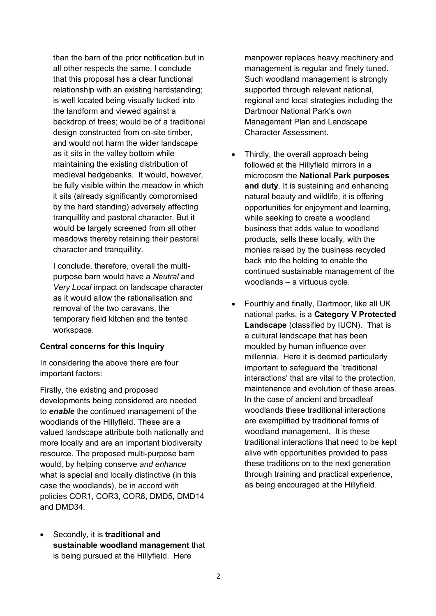than the barn of the prior notification but in all other respects the same. I conclude that this proposal has a clear functional relationship with an existing hardstanding; is well located being visually tucked into the landform and viewed against a backdrop of trees; would be of a traditional design constructed from on-site timber, and would not harm the wider landscape as it sits in the valley bottom while maintaining the existing distribution of medieval hedgebanks. It would, however, be fully visible within the meadow in which it sits (already significantly compromised by the hard standing) adversely affecting tranquillity and pastoral character. But it would be largely screened from all other meadows thereby retaining their pastoral character and tranquillity.

I conclude, therefore, overall the multipurpose barn would have a *Neutral* and *Very Local* impact on landscape character as it would allow the rationalisation and removal of the two caravans, the temporary field kitchen and the tented workspace.

#### **Central concerns for this Inquiry**

In considering the above there are four important factors:

Firstly, the existing and proposed developments being considered are needed to *enable* the continued management of the woodlands of the Hillyfield. These are a valued landscape attribute both nationally and more locally and are an important biodiversity resource. The proposed multi-purpose barn would, by helping conserve *and enhance* what is special and locally distinctive (in this case the woodlands), be in accord with policies COR1, COR3, COR8, DMD5, DMD14 and DMD34.

• Secondly, it is **traditional and sustainable woodland management** that is being pursued at the Hillyfield. Here

manpower replaces heavy machinery and management is regular and finely tuned. Such woodland management is strongly supported through relevant national, regional and local strategies including the Dartmoor National Park's own Management Plan and Landscape Character Assessment.

- Thirdly, the overall approach being followed at the Hillyfield mirrors in a microcosm the **National Park purposes and duty**. It is sustaining and enhancing natural beauty and wildlife, it is offering opportunities for enjoyment and learning, while seeking to create a woodland business that adds value to woodland products, sells these locally, with the monies raised by the business recycled back into the holding to enable the continued sustainable management of the woodlands – a virtuous cycle.
- Fourthly and finally, Dartmoor, like all UK national parks, is a **Category V Protected Landscape** (classified by IUCN). That is a cultural landscape that has been moulded by human influence over millennia. Here it is deemed particularly important to safeguard the 'traditional interactions' that are vital to the protection, maintenance and evolution of these areas. In the case of ancient and broadleaf woodlands these traditional interactions are exemplified by traditional forms of woodland management. It is these traditional interactions that need to be kept alive with opportunities provided to pass these traditions on to the next generation through training and practical experience, as being encouraged at the Hillyfield.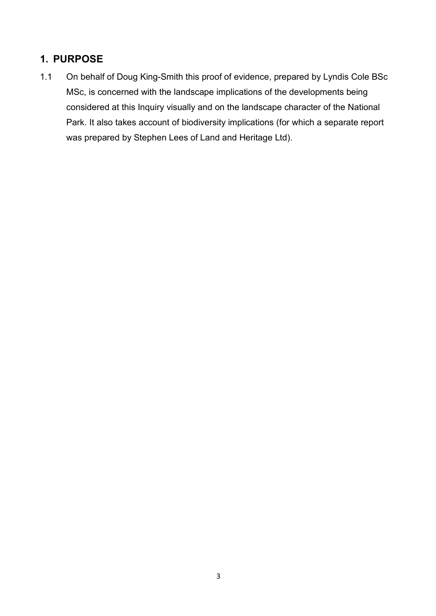# **1. PURPOSE**

1.1 On behalf of Doug King-Smith this proof of evidence, prepared by Lyndis Cole BSc MSc, is concerned with the landscape implications of the developments being considered at this Inquiry visually and on the landscape character of the National Park. It also takes account of biodiversity implications (for which a separate report was prepared by Stephen Lees of Land and Heritage Ltd).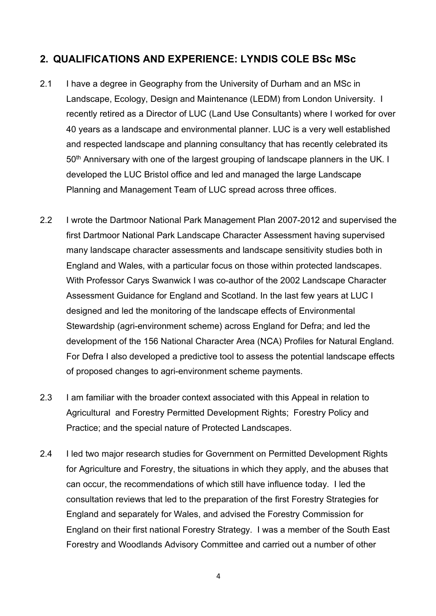## **2. QUALIFICATIONS AND EXPERIENCE: LYNDIS COLE BSc MSc**

- 2.1 I have a degree in Geography from the University of Durham and an MSc in Landscape, Ecology, Design and Maintenance (LEDM) from London University. I recently retired as a Director of LUC (Land Use Consultants) where I worked for over 40 years as a landscape and environmental planner. LUC is a very well established and respected landscape and planning consultancy that has recently celebrated its 50<sup>th</sup> Anniversary with one of the largest grouping of landscape planners in the UK. I developed the LUC Bristol office and led and managed the large Landscape Planning and Management Team of LUC spread across three offices.
- 2.2 I wrote the Dartmoor National Park Management Plan 2007-2012 and supervised the first Dartmoor National Park Landscape Character Assessment having supervised many landscape character assessments and landscape sensitivity studies both in England and Wales, with a particular focus on those within protected landscapes. With Professor Carys Swanwick I was co-author of the 2002 Landscape Character Assessment Guidance for England and Scotland. In the last few years at LUC I designed and led the monitoring of the landscape effects of Environmental Stewardship (agri-environment scheme) across England for Defra; and led the development of the 156 National Character Area (NCA) Profiles for Natural England. For Defra I also developed a predictive tool to assess the potential landscape effects of proposed changes to agri-environment scheme payments.
- 2.3 I am familiar with the broader context associated with this Appeal in relation to Agricultural and Forestry Permitted Development Rights; Forestry Policy and Practice; and the special nature of Protected Landscapes.
- 2.4 I led two major research studies for Government on Permitted Development Rights for Agriculture and Forestry, the situations in which they apply, and the abuses that can occur, the recommendations of which still have influence today. I led the consultation reviews that led to the preparation of the first Forestry Strategies for England and separately for Wales, and advised the Forestry Commission for England on their first national Forestry Strategy. I was a member of the South East Forestry and Woodlands Advisory Committee and carried out a number of other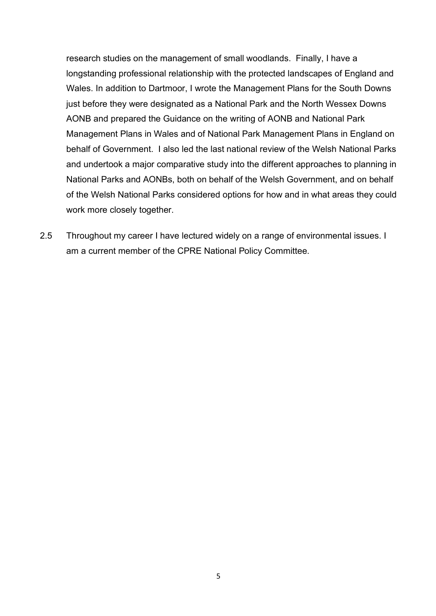research studies on the management of small woodlands. Finally, I have a longstanding professional relationship with the protected landscapes of England and Wales. In addition to Dartmoor, I wrote the Management Plans for the South Downs just before they were designated as a National Park and the North Wessex Downs AONB and prepared the Guidance on the writing of AONB and National Park Management Plans in Wales and of National Park Management Plans in England on behalf of Government. I also led the last national review of the Welsh National Parks and undertook a major comparative study into the different approaches to planning in National Parks and AONBs, both on behalf of the Welsh Government, and on behalf of the Welsh National Parks considered options for how and in what areas they could work more closely together.

2.5 Throughout my career I have lectured widely on a range of environmental issues. I am a current member of the CPRE National Policy Committee.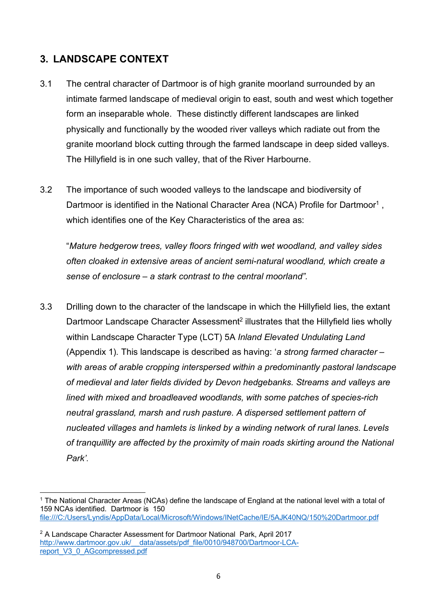# **3. LANDSCAPE CONTEXT**

- 3.1 The central character of Dartmoor is of high granite moorland surrounded by an intimate farmed landscape of medieval origin to east, south and west which together form an inseparable whole. These distinctly different landscapes are linked physically and functionally by the wooded river valleys which radiate out from the granite moorland block cutting through the farmed landscape in deep sided valleys. The Hillyfield is in one such valley, that of the River Harbourne.
- 3.2 The importance of such wooded valleys to the landscape and biodiversity of Dartmoor is identified in the National Character Area (NCA) Profile for Dartmoor<sup>1</sup>, which identifies one of the Key Characteristics of the area as:

"*Mature hedgerow trees, valley floors fringed with wet woodland, and valley sides often cloaked in extensive areas of ancient semi-natural woodland, which create a sense of enclosure – a stark contrast to the central moorland".*

3.3 Drilling down to the character of the landscape in which the Hillyfield lies, the extant Dartmoor Landscape Character Assessment<sup>2</sup> illustrates that the Hillyfield lies wholly within Landscape Character Type (LCT) 5A *Inland Elevated Undulating Land* (Appendix 1)*.* This landscape is described as having: '*a strong farmed character – with areas of arable cropping interspersed within a predominantly pastoral landscape of medieval and later fields divided by Devon hedgebanks. Streams and valleys are lined with mixed and broadleaved woodlands, with some patches of species-rich neutral grassland, marsh and rush pasture. A dispersed settlement pattern of nucleated villages and hamlets is linked by a winding network of rural lanes. Levels of tranquillity are affected by the proximity of main roads skirting around the National Park'*.

 $\overline{a}$ 

<sup>1</sup> The National Character Areas (NCAs) define the landscape of England at the national level with a total of 159 NCAs identified. Dartmoor is 150 file:///C:/Users/Lyndis/AppData/Local/Microsoft/Windows/INetCache/IE/5AJK40NQ/150%20Dartmoor.pdf

<sup>&</sup>lt;sup>2</sup> A Landscape Character Assessment for Dartmoor National Park, April 2017 http://www.dartmoor.gov.uk/ data/assets/pdf\_file/0010/948700/Dartmoor-LCAreport\_V3\_0\_AGcompressed.pdf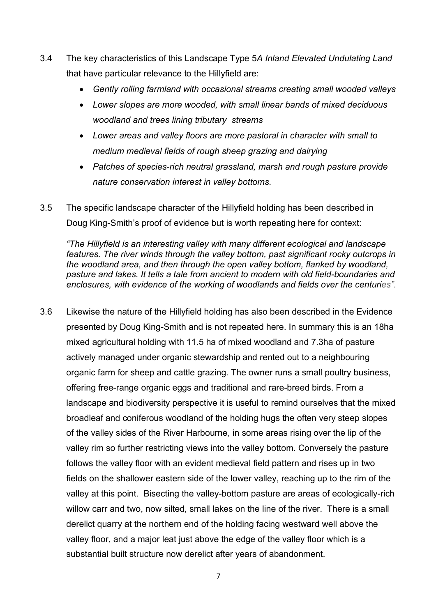- 3.4 The key characteristics of this Landscape Type 5*A Inland Elevated Undulating Land* that have particular relevance to the Hillyfield are:
	- *Gently rolling farmland with occasional streams creating small wooded valleys*
	- *Lower slopes are more wooded, with small linear bands of mixed deciduous woodland and trees lining tributary streams*
	- *Lower areas and valley floors are more pastoral in character with small to medium medieval fields of rough sheep grazing and dairying*
	- *Patches of species-rich neutral grassland, marsh and rough pasture provide nature conservation interest in valley bottoms.*
- 3.5 The specific landscape character of the Hillyfield holding has been described in Doug King-Smith's proof of evidence but is worth repeating here for context:

*"The Hillyfield is an interesting valley with many different ecological and landscape features. The river winds through the valley bottom, past significant rocky outcrops in the woodland area, and then through the open valley bottom, flanked by woodland, pasture and lakes. It tells a tale from ancient to modern with old field-boundaries and enclosures, with evidence of the working of woodlands and fields over the centuries".*

3.6 Likewise the nature of the Hillyfield holding has also been described in the Evidence presented by Doug King-Smith and is not repeated here. In summary this is an 18ha mixed agricultural holding with 11.5 ha of mixed woodland and 7.3ha of pasture actively managed under organic stewardship and rented out to a neighbouring organic farm for sheep and cattle grazing. The owner runs a small poultry business, offering free-range organic eggs and traditional and rare-breed birds. From a landscape and biodiversity perspective it is useful to remind ourselves that the mixed broadleaf and coniferous woodland of the holding hugs the often very steep slopes of the valley sides of the River Harbourne, in some areas rising over the lip of the valley rim so further restricting views into the valley bottom. Conversely the pasture follows the valley floor with an evident medieval field pattern and rises up in two fields on the shallower eastern side of the lower valley, reaching up to the rim of the valley at this point. Bisecting the valley-bottom pasture are areas of ecologically-rich willow carr and two, now silted, small lakes on the line of the river. There is a small derelict quarry at the northern end of the holding facing westward well above the valley floor, and a major leat just above the edge of the valley floor which is a substantial built structure now derelict after years of abandonment.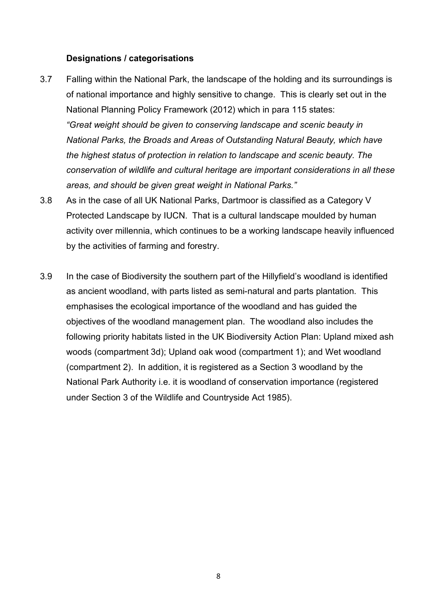#### **Designations / categorisations**

- 3.7 Falling within the National Park, the landscape of the holding and its surroundings is of national importance and highly sensitive to change. This is clearly set out in the National Planning Policy Framework (2012) which in para 115 states: *"Great weight should be given to conserving landscape and scenic beauty in National Parks, the Broads and Areas of Outstanding Natural Beauty, which have the highest status of protection in relation to landscape and scenic beauty. The conservation of wildlife and cultural heritage are important considerations in all these areas, and should be given great weight in National Parks."*
- 3.8 As in the case of all UK National Parks, Dartmoor is classified as a Category V Protected Landscape by IUCN. That is a cultural landscape moulded by human activity over millennia, which continues to be a working landscape heavily influenced by the activities of farming and forestry.
- 3.9 In the case of Biodiversity the southern part of the Hillyfield's woodland is identified as ancient woodland, with parts listed as semi-natural and parts plantation. This emphasises the ecological importance of the woodland and has guided the objectives of the woodland management plan. The woodland also includes the following priority habitats listed in the UK Biodiversity Action Plan: Upland mixed ash woods (compartment 3d); Upland oak wood (compartment 1); and Wet woodland (compartment 2). In addition, it is registered as a Section 3 woodland by the National Park Authority i.e. it is woodland of conservation importance (registered under Section 3 of the Wildlife and Countryside Act 1985).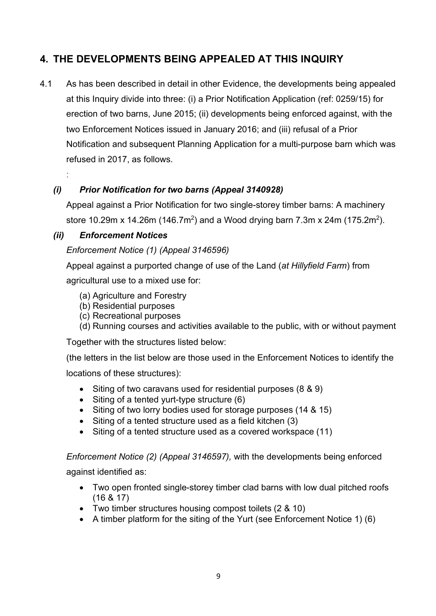# **4. THE DEVELOPMENTS BEING APPEALED AT THIS INQUIRY**

4.1 As has been described in detail in other Evidence, the developments being appealed at this Inquiry divide into three: (i) a Prior Notification Application (ref: 0259/15) for erection of two barns, June 2015; (ii) developments being enforced against, with the two Enforcement Notices issued in January 2016; and (iii) refusal of a Prior Notification and subsequent Planning Application for a multi-purpose barn which was refused in 2017, as follows.

## *(i) Prior Notification for two barns (Appeal 3140928)*

Appeal against a Prior Notification for two single-storey timber barns: A machinery store 10.29m x 14.26m (146.7m<sup>2</sup>) and a Wood drying barn 7.3m x 24m (175.2m<sup>2</sup>).

## *(ii) Enforcement Notices*

:

## *Enforcement Notice (1) (Appeal 3146596)*

Appeal against a purported change of use of the Land (*at Hillyfield Farm*) from

agricultural use to a mixed use for:

- (a) Agriculture and Forestry
- (b) Residential purposes
- (c) Recreational purposes
- (d) Running courses and activities available to the public, with or without payment

Together with the structures listed below:

(the letters in the list below are those used in the Enforcement Notices to identify the locations of these structures):

- Siting of two caravans used for residential purposes (8 & 9)
- Siting of a tented yurt-type structure (6)
- Siting of two lorry bodies used for storage purposes (14 & 15)
- Siting of a tented structure used as a field kitchen (3)
- Siting of a tented structure used as a covered workspace (11)

*Enforcement Notice (2) (Appeal 3146597),* with the developments being enforced

against identified as:

- Two open fronted single-storey timber clad barns with low dual pitched roofs (16 & 17)
- Two timber structures housing compost toilets (2 & 10)
- A timber platform for the siting of the Yurt (see Enforcement Notice 1) (6)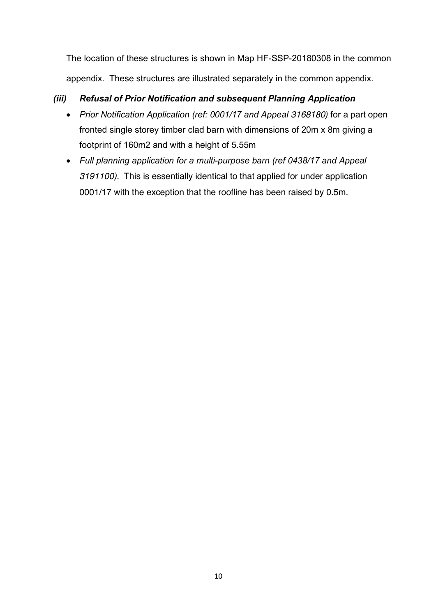The location of these structures is shown in Map HF-SSP-20180308 in the common appendix. These structures are illustrated separately in the common appendix.

## *(iii) Refusal of Prior Notification and subsequent Planning Application*

- *Prior Notification Application (ref: 0001/17 and Appeal 3168180)* for a part open fronted single storey timber clad barn with dimensions of 20m x 8m giving a footprint of 160m2 and with a height of 5.55m
- *Full planning application for a multi-purpose barn (ref 0438/17 and Appeal 3191100).* This is essentially identical to that applied for under application 0001/17 with the exception that the roofline has been raised by 0.5m.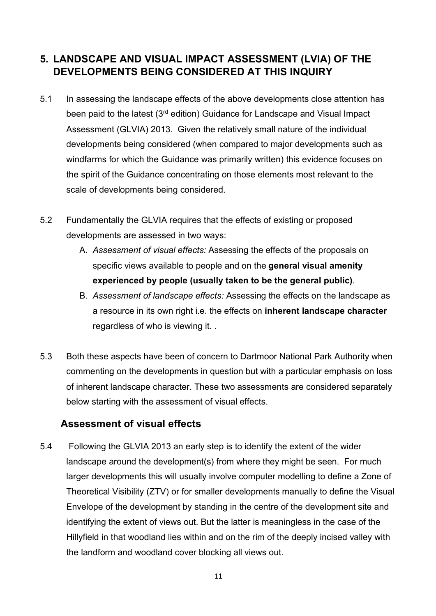# **5. LANDSCAPE AND VISUAL IMPACT ASSESSMENT (LVIA) OF THE DEVELOPMENTS BEING CONSIDERED AT THIS INQUIRY**

- 5.1 In assessing the landscape effects of the above developments close attention has been paid to the latest (3<sup>rd</sup> edition) Guidance for Landscape and Visual Impact Assessment (GLVIA) 2013. Given the relatively small nature of the individual developments being considered (when compared to major developments such as windfarms for which the Guidance was primarily written) this evidence focuses on the spirit of the Guidance concentrating on those elements most relevant to the scale of developments being considered.
- 5.2 Fundamentally the GLVIA requires that the effects of existing or proposed developments are assessed in two ways:
	- A. *Assessment of visual effects:* Assessing the effects of the proposals on specific views available to people and on the **general visual amenity experienced by people (usually taken to be the general public)***.*
	- B. *Assessment of landscape effects:* Assessing the effects on the landscape as a resource in its own right i.e. the effects on **inherent landscape character** regardless of who is viewing it. .
- 5.3 Both these aspects have been of concern to Dartmoor National Park Authority when commenting on the developments in question but with a particular emphasis on loss of inherent landscape character. These two assessments are considered separately below starting with the assessment of visual effects.

## **Assessment of visual effects**

5.4 Following the GLVIA 2013 an early step is to identify the extent of the wider landscape around the development(s) from where they might be seen. For much larger developments this will usually involve computer modelling to define a Zone of Theoretical Visibility (ZTV) or for smaller developments manually to define the Visual Envelope of the development by standing in the centre of the development site and identifying the extent of views out. But the latter is meaningless in the case of the Hillyfield in that woodland lies within and on the rim of the deeply incised valley with the landform and woodland cover blocking all views out.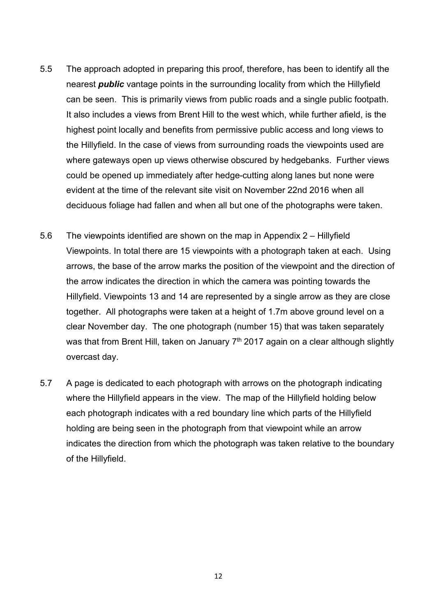- 5.5 The approach adopted in preparing this proof, therefore, has been to identify all the nearest *public* vantage points in the surrounding locality from which the Hillyfield can be seen. This is primarily views from public roads and a single public footpath. It also includes a views from Brent Hill to the west which, while further afield, is the highest point locally and benefits from permissive public access and long views to the Hillyfield. In the case of views from surrounding roads the viewpoints used are where gateways open up views otherwise obscured by hedgebanks. Further views could be opened up immediately after hedge-cutting along lanes but none were evident at the time of the relevant site visit on November 22nd 2016 when all deciduous foliage had fallen and when all but one of the photographs were taken.
- 5.6 The viewpoints identified are shown on the map in Appendix 2 Hillyfield Viewpoints. In total there are 15 viewpoints with a photograph taken at each. Using arrows, the base of the arrow marks the position of the viewpoint and the direction of the arrow indicates the direction in which the camera was pointing towards the Hillyfield. Viewpoints 13 and 14 are represented by a single arrow as they are close together. All photographs were taken at a height of 1.7m above ground level on a clear November day. The one photograph (number 15) that was taken separately was that from Brent Hill, taken on January  $7<sup>th</sup>$  2017 again on a clear although slightly overcast day.
- 5.7 A page is dedicated to each photograph with arrows on the photograph indicating where the Hillyfield appears in the view. The map of the Hillyfield holding below each photograph indicates with a red boundary line which parts of the Hillyfield holding are being seen in the photograph from that viewpoint while an arrow indicates the direction from which the photograph was taken relative to the boundary of the Hillyfield.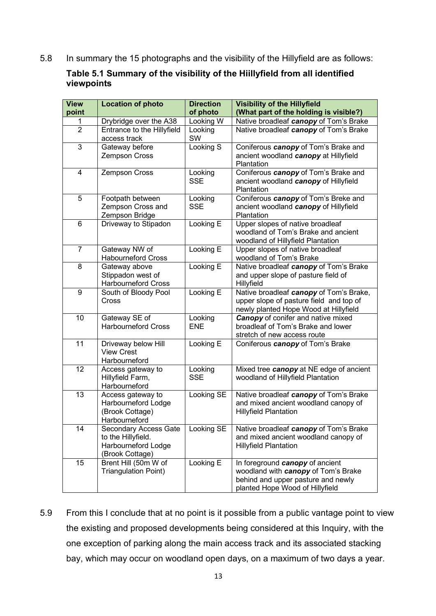5.8 In summary the 15 photographs and the visibility of the Hillyfield are as follows:

#### **Table 5.1 Summary of the visibility of the Hiillyfield from all identified viewpoints**

| <b>View</b>     | <b>Location of photo</b>                   | <b>Direction</b> | <b>Visibility of the Hillyfield</b>                         |
|-----------------|--------------------------------------------|------------------|-------------------------------------------------------------|
| point           |                                            | of photo         | (What part of the holding is visible?)                      |
| 1               | Drybridge over the A38                     | Looking W        | Native broadleaf canopy of Tom's Brake                      |
| $\overline{2}$  | Entrance to the Hillyfield                 | Looking          | Native broadleaf canopy of Tom's Brake                      |
|                 | access track                               | SW               |                                                             |
| 3               | Gateway before                             | Looking S        | Coniferous <i>canopy</i> of Tom's Brake and                 |
|                 | Zempson Cross                              |                  | ancient woodland canopy at Hillyfield<br>Plantation         |
| 4               | Zempson Cross                              | Looking          | Coniferous <i>canopy</i> of Tom's Brake and                 |
|                 |                                            | <b>SSE</b>       | ancient woodland canopy of Hillyfield<br>Plantation         |
| 5               | Footpath between                           | Looking          | Coniferous <i>canopy</i> of Tom's Breke and                 |
|                 | Zempson Cross and                          | <b>SSE</b>       | ancient woodland canopy of Hillyfield                       |
|                 | Zempson Bridge                             |                  | Plantation                                                  |
| 6               | Driveway to Stipadon                       | Looking E        | Upper slopes of native broadleaf                            |
|                 |                                            |                  | woodland of Tom's Brake and ancient                         |
| $\overline{7}$  |                                            |                  | woodland of Hillyfield Plantation                           |
|                 | Gateway NW of<br><b>Habourneford Cross</b> | Looking E        | Upper slopes of native broadleaf<br>woodland of Tom's Brake |
| 8               | Gateway above                              | Looking E        | Native broadleaf canopy of Tom's Brake                      |
|                 | Stippadon west of                          |                  | and upper slope of pasture field of                         |
|                 | <b>Harbourneford Cross</b>                 |                  | Hillyfield                                                  |
| 9               | South of Bloody Pool                       | Looking E        | Native broadleaf canopy of Tom's Brake,                     |
|                 | Cross                                      |                  | upper slope of pasture field and top of                     |
|                 |                                            |                  | newly planted Hope Wood at Hillyfield                       |
| 10              | Gateway SE of                              | Looking          | <b>Canopy</b> of conifer and native mixed                   |
|                 | <b>Harbourneford Cross</b>                 | <b>ENE</b>       | broadleaf of Tom's Brake and lower                          |
|                 |                                            |                  | stretch of new access route                                 |
| $\overline{11}$ | Driveway below Hill                        | Looking E        | Coniferous canopy of Tom's Brake                            |
|                 | <b>View Crest</b>                          |                  |                                                             |
|                 | Harbourneford                              |                  |                                                             |
| 12              | Access gateway to                          | Looking          | Mixed tree canopy at NE edge of ancient                     |
|                 | Hillyfield Farm,<br>Harbourneford          | <b>SSE</b>       | woodland of Hillyfield Plantation                           |
| 13              | Access gateway to                          | Looking SE       | Native broadleaf canopy of Tom's Brake                      |
|                 | Harbourneford Lodge                        |                  | and mixed ancient woodland canopy of                        |
|                 | (Brook Cottage)                            |                  | <b>Hillyfield Plantation</b>                                |
|                 | Harbourneford                              |                  |                                                             |
| 14              | Secondary Access Gate                      | Looking SE       | Native broadleaf canopy of Tom's Brake                      |
|                 | to the Hillyfield.                         |                  | and mixed ancient woodland canopy of                        |
|                 | Harbourneford Lodge                        |                  | <b>Hillyfield Plantation</b>                                |
|                 | (Brook Cottage)                            |                  |                                                             |
| 15              | Brent Hill (50m W of                       | Looking E        | In foreground canopy of ancient                             |
|                 | <b>Triangulation Point)</b>                |                  | woodland with canopy of Tom's Brake                         |
|                 |                                            |                  | behind and upper pasture and newly                          |
|                 |                                            |                  | planted Hope Wood of Hillyfield                             |

5.9 From this I conclude that at no point is it possible from a public vantage point to view the existing and proposed developments being considered at this Inquiry, with the one exception of parking along the main access track and its associated stacking bay, which may occur on woodland open days, on a maximum of two days a year.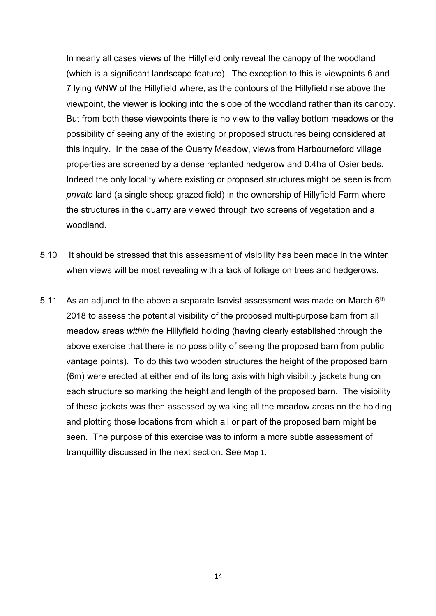In nearly all cases views of the Hillyfield only reveal the canopy of the woodland (which is a significant landscape feature). The exception to this is viewpoints 6 and 7 lying WNW of the Hillyfield where, as the contours of the Hillyfield rise above the viewpoint, the viewer is looking into the slope of the woodland rather than its canopy. But from both these viewpoints there is no view to the valley bottom meadows or the possibility of seeing any of the existing or proposed structures being considered at this inquiry. In the case of the Quarry Meadow, views from Harbourneford village properties are screened by a dense replanted hedgerow and 0.4ha of Osier beds. Indeed the only locality where existing or proposed structures might be seen is from *private* land (a single sheep grazed field) in the ownership of Hillyfield Farm where the structures in the quarry are viewed through two screens of vegetation and a woodland.

- 5.10 It should be stressed that this assessment of visibility has been made in the winter when views will be most revealing with a lack of foliage on trees and hedgerows.
- 5.11 As an adjunct to the above a separate Isovist assessment was made on March  $6<sup>th</sup>$ 2018 to assess the potential visibility of the proposed multi-purpose barn from all meadow areas *within t*he Hillyfield holding (having clearly established through the above exercise that there is no possibility of seeing the proposed barn from public vantage points). To do this two wooden structures the height of the proposed barn (6m) were erected at either end of its long axis with high visibility jackets hung on each structure so marking the height and length of the proposed barn. The visibility of these jackets was then assessed by walking all the meadow areas on the holding and plotting those locations from which all or part of the proposed barn might be seen. The purpose of this exercise was to inform a more subtle assessment of tranquillity discussed in the next section. See Map 1.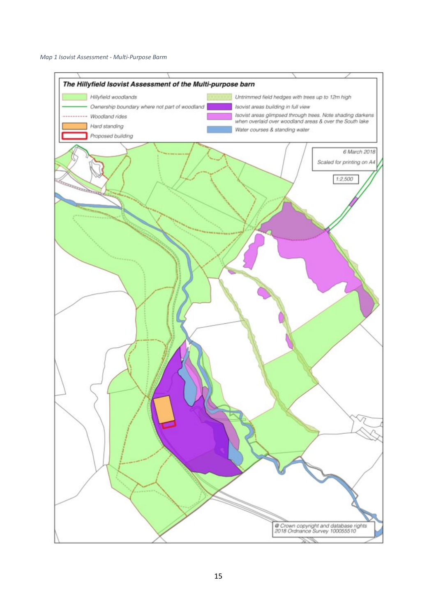

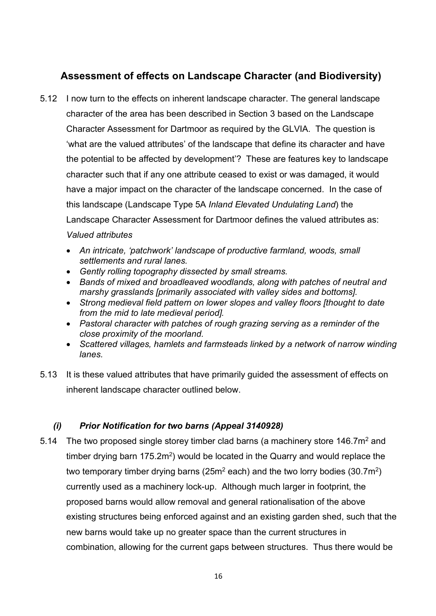# **Assessment of effects on Landscape Character (and Biodiversity)**

- 5.12 I now turn to the effects on inherent landscape character. The general landscape character of the area has been described in Section 3 based on the Landscape Character Assessment for Dartmoor as required by the GLVIA. The question is 'what are the valued attributes' of the landscape that define its character and have the potential to be affected by development'? These are features key to landscape character such that if any one attribute ceased to exist or was damaged, it would have a major impact on the character of the landscape concerned. In the case of this landscape (Landscape Type 5A *Inland Elevated Undulating Land*) the Landscape Character Assessment for Dartmoor defines the valued attributes as: *Valued attributes*
	- *An intricate, 'patchwork' landscape of productive farmland, woods, small settlements and rural lanes.*
	- *Gently rolling topography dissected by small streams.*
	- *Bands of mixed and broadleaved woodlands, along with patches of neutral and marshy grasslands [primarily associated with valley sides and bottoms].*
	- *Strong medieval field pattern on lower slopes and valley floors [thought to date from the mid to late medieval period].*
	- *Pastoral character with patches of rough grazing serving as a reminder of the close proximity of the moorland.*
	- *Scattered villages, hamlets and farmsteads linked by a network of narrow winding lanes.*
- 5.13 It is these valued attributes that have primarily guided the assessment of effects on inherent landscape character outlined below.

## *(i) Prior Notification for two barns (Appeal 3140928)*

5.14 The two proposed single storey timber clad barns (a machinery store 146.7m<sup>2</sup> and timber drying barn  $175.2m<sup>2</sup>$ ) would be located in the Quarry and would replace the two temporary timber drying barns ( $25m^2$  each) and the two lorry bodies ( $30.7m^2$ ) currently used as a machinery lock-up. Although much larger in footprint, the proposed barns would allow removal and general rationalisation of the above existing structures being enforced against and an existing garden shed, such that the new barns would take up no greater space than the current structures in combination, allowing for the current gaps between structures. Thus there would be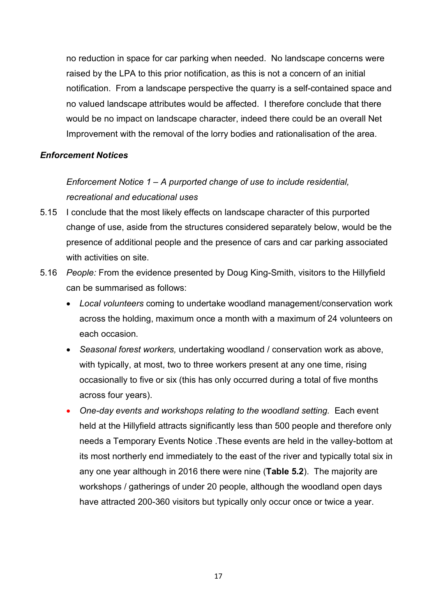no reduction in space for car parking when needed. No landscape concerns were raised by the LPA to this prior notification, as this is not a concern of an initial notification. From a landscape perspective the quarry is a self-contained space and no valued landscape attributes would be affected. I therefore conclude that there would be no impact on landscape character, indeed there could be an overall Net Improvement with the removal of the lorry bodies and rationalisation of the area.

#### *Enforcement Notices*

# *Enforcement Notice 1 – A purported change of use to include residential, recreational and educational uses*

- 5.15 I conclude that the most likely effects on landscape character of this purported change of use, aside from the structures considered separately below, would be the presence of additional people and the presence of cars and car parking associated with activities on site.
- 5.16 *People:* From the evidence presented by Doug King-Smith, visitors to the Hillyfield can be summarised as follows:
	- *Local volunteers* coming to undertake woodland management/conservation work across the holding, maximum once a month with a maximum of 24 volunteers on each occasion.
	- *Seasonal forest workers,* undertaking woodland / conservation work as above, with typically, at most, two to three workers present at any one time, rising occasionally to five or six (this has only occurred during a total of five months across four years).
	- One-day events and workshops relating to the woodland setting. Each event held at the Hillyfield attracts significantly less than 500 people and therefore only needs a Temporary Events Notice .These events are held in the valley-bottom at its most northerly end immediately to the east of the river and typically total six in any one year although in 2016 there were nine (**Table 5.2**). The majority are workshops / gatherings of under 20 people, although the woodland open days have attracted 200-360 visitors but typically only occur once or twice a year.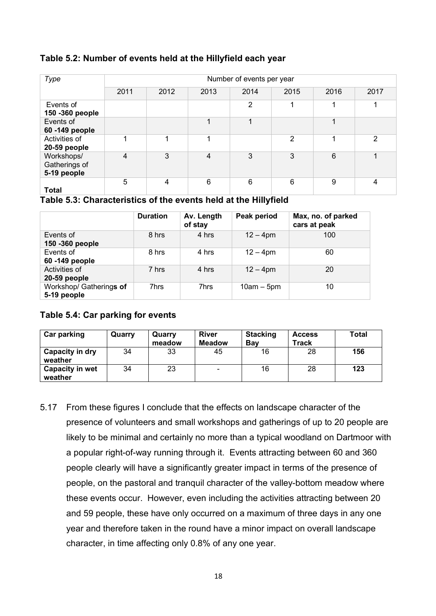#### **Table 5.2: Number of events held at the Hillyfield each year**

| Type                                       | Number of events per year |      |      |                |               |      |                |  |
|--------------------------------------------|---------------------------|------|------|----------------|---------------|------|----------------|--|
|                                            | 2011                      | 2012 | 2013 | 2014           | 2015          | 2016 | 2017           |  |
| Events of<br>150 - 360 people              |                           |      |      | $\overline{2}$ |               |      |                |  |
| Events of<br>60 - 149 people               |                           |      |      | 1              |               |      |                |  |
| Activities of<br>20-59 people              |                           | 4    |      |                | $\mathcal{P}$ | ◢    | 2              |  |
| Workshops/<br>Gatherings of<br>5-19 people | $\overline{4}$            | 3    | 4    | 3              | 3             | 6    | ۸              |  |
| <b>Total</b>                               | 5                         | 4    | 6    | 6              | 6             | 9    | $\overline{4}$ |  |

**Table 5.3: Characteristics of the events held at the Hillyfield**

|                                        | <b>Duration</b> | Av. Length<br>of stay | Peak period  | Max, no. of parked<br>cars at peak |
|----------------------------------------|-----------------|-----------------------|--------------|------------------------------------|
| Events of<br>150 - 360 people          | 8 hrs           | 4 hrs                 | $12 - 4pm$   | 100                                |
| Events of<br>60-149 people             | 8 hrs           | 4 hrs                 | $12 - 4pm$   | 60                                 |
| Activities of<br>20-59 people          | 7 hrs           | 4 hrs                 | $12 - 4pm$   | 20                                 |
| Workshop/ Gatherings of<br>5-19 people | 7hrs            | 7hrs                  | $10am - 5pm$ | 10                                 |

## **Table 5.4: Car parking for events**

| <b>Car parking</b>                | Quarry | Quarry<br>meadow | <b>River</b><br><b>Meadow</b> | <b>Stacking</b><br>Bav | <b>Access</b><br><b>Track</b> | Total |
|-----------------------------------|--------|------------------|-------------------------------|------------------------|-------------------------------|-------|
| <b>Capacity in dry</b><br>weather | 34     | 33               | 45                            | 16                     | 28                            | 156   |
| <b>Capacity in wet</b><br>weather | 34     | 23               |                               | 16                     | 28                            | 123   |

5.17 From these figures I conclude that the effects on landscape character of the presence of volunteers and small workshops and gatherings of up to 20 people are likely to be minimal and certainly no more than a typical woodland on Dartmoor with a popular right-of-way running through it. Events attracting between 60 and 360 people clearly will have a significantly greater impact in terms of the presence of people, on the pastoral and tranquil character of the valley-bottom meadow where these events occur. However, even including the activities attracting between 20 and 59 people, these have only occurred on a maximum of three days in any one year and therefore taken in the round have a minor impact on overall landscape character, in time affecting only 0.8% of any one year.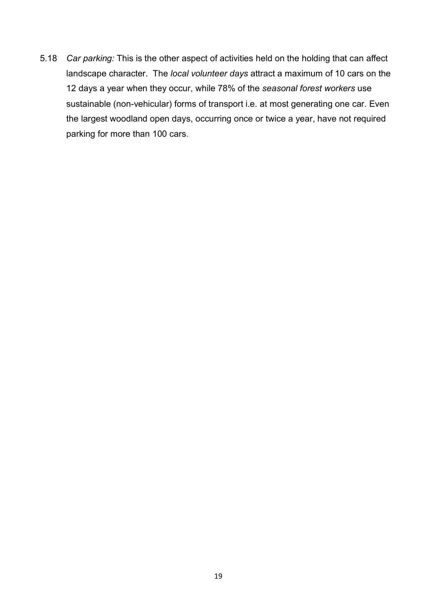5.18 *Car parking:* This is the other aspect of activities held on the holding that can affect landscape character. The *local volunteer days* attract a maximum of 10 cars on the 12 days a year when they occur, while 78% of the *seasonal forest workers* use sustainable (non-vehicular) forms of transport i.e. at most generating one car. Even the largest woodland open days, occurring once or twice a year, have not required parking for more than 100 cars.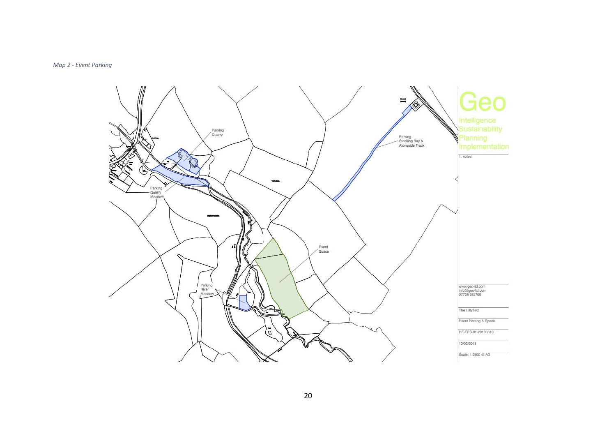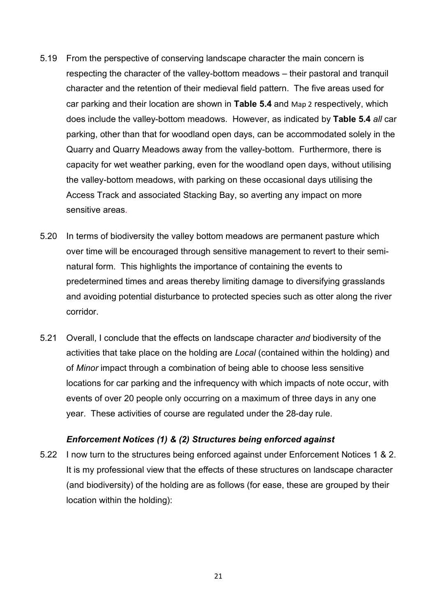- 5.19 From the perspective of conserving landscape character the main concern is respecting the character of the valley-bottom meadows – their pastoral and tranquil character and the retention of their medieval field pattern. The five areas used for car parking and their location are shown in **Table 5.4** and Map 2 respectively, which does include the valley-bottom meadows. However, as indicated by **Table 5.4** *all* car parking, other than that for woodland open days, can be accommodated solely in the Quarry and Quarry Meadows away from the valley-bottom. Furthermore, there is capacity for wet weather parking, even for the woodland open days, without utilising the valley-bottom meadows, with parking on these occasional days utilising the Access Track and associated Stacking Bay, so averting any impact on more sensitive areas.
- 5.20 In terms of biodiversity the valley bottom meadows are permanent pasture which over time will be encouraged through sensitive management to revert to their seminatural form. This highlights the importance of containing the events to predetermined times and areas thereby limiting damage to diversifying grasslands and avoiding potential disturbance to protected species such as otter along the river corridor.
- 5.21 Overall, I conclude that the effects on landscape character *and* biodiversity of the activities that take place on the holding are *Local* (contained within the holding) and of *Minor* impact through a combination of being able to choose less sensitive locations for car parking and the infrequency with which impacts of note occur, with events of over 20 people only occurring on a maximum of three days in any one year. These activities of course are regulated under the 28-day rule.

#### *Enforcement Notices (1) & (2) Structures being enforced against*

5.22 I now turn to the structures being enforced against under Enforcement Notices 1 & 2. It is my professional view that the effects of these structures on landscape character (and biodiversity) of the holding are as follows (for ease, these are grouped by their location within the holding):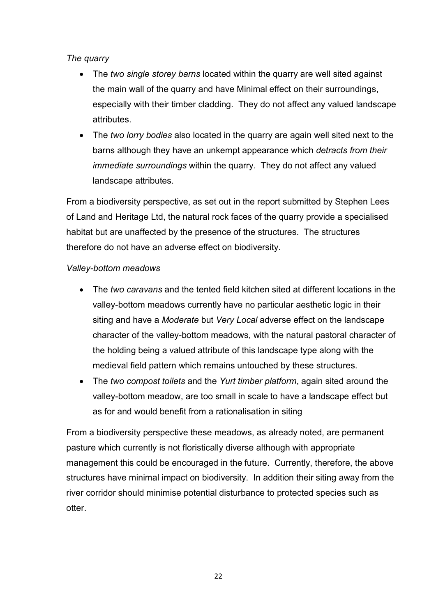## *The quarry*

- The *two single storey barns* located within the quarry are well sited against the main wall of the quarry and have Minimal effect on their surroundings, especially with their timber cladding. They do not affect any valued landscape attributes.
- The *two lorry bodies* also located in the quarry are again well sited next to the barns although they have an unkempt appearance which *detracts from their immediate surroundings* within the quarry. They do not affect any valued landscape attributes.

From a biodiversity perspective, as set out in the report submitted by Stephen Lees of Land and Heritage Ltd, the natural rock faces of the quarry provide a specialised habitat but are unaffected by the presence of the structures. The structures therefore do not have an adverse effect on biodiversity.

## *Valley-bottom meadows*

- The *two caravans* and the tented field kitchen sited at different locations in the valley-bottom meadows currently have no particular aesthetic logic in their siting and have a *Moderate* but *Very Local* adverse effect on the landscape character of the valley-bottom meadows, with the natural pastoral character of the holding being a valued attribute of this landscape type along with the medieval field pattern which remains untouched by these structures.
- The *two compost toilets* and the *Yurt timber platform*, again sited around the valley-bottom meadow, are too small in scale to have a landscape effect but as for and would benefit from a rationalisation in siting

From a biodiversity perspective these meadows, as already noted, are permanent pasture which currently is not floristically diverse although with appropriate management this could be encouraged in the future. Currently, therefore, the above structures have minimal impact on biodiversity. In addition their siting away from the river corridor should minimise potential disturbance to protected species such as otter.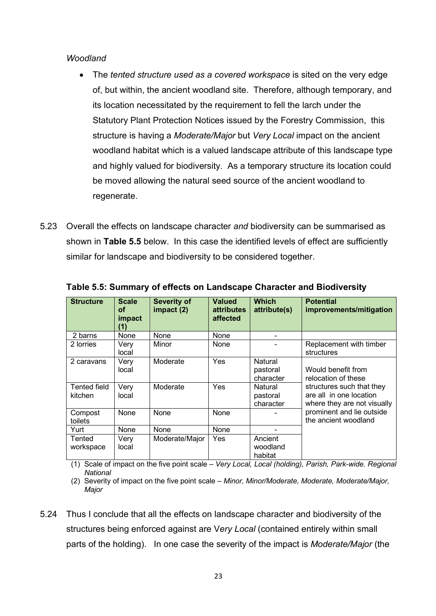#### *Woodland*

- The *tented structure used as a covered workspace* is sited on the very edge of, but within, the ancient woodland site. Therefore, although temporary, and its location necessitated by the requirement to fell the larch under the Statutory Plant Protection Notices issued by the Forestry Commission, this structure is having a *Moderate/Major* but *Very Local* impact on the ancient woodland habitat which is a valued landscape attribute of this landscape type and highly valued for biodiversity. As a temporary structure its location could be moved allowing the natural seed source of the ancient woodland to regenerate.
- 5.23 Overall the effects on landscape character *and* biodiversity can be summarised as shown in **Table 5.5** below. In this case the identified levels of effect are sufficiently similar for landscape and biodiversity to be considered together.

| <b>Structure</b>               | <b>Scale</b><br>οf<br>impact<br>(1) | <b>Severity of</b><br>impact(2) | <b>Valued</b><br><b>attributes</b><br>affected | <b>Which</b><br>attribute(s)     | <b>Potential</b><br>improvements/mitigation                                         |
|--------------------------------|-------------------------------------|---------------------------------|------------------------------------------------|----------------------------------|-------------------------------------------------------------------------------------|
| 2 barns                        | None                                | None                            | None                                           |                                  |                                                                                     |
| 2 lorries                      | Very<br>local                       | Minor                           | None                                           |                                  | Replacement with timber<br>structures                                               |
| 2 caravans                     | Very<br>local                       | Moderate                        | Yes                                            | Natural<br>pastoral<br>character | Would benefit from<br>relocation of these                                           |
| <b>Tented field</b><br>kitchen | Very<br>local                       | Moderate                        | Yes                                            | Natural<br>pastoral<br>character | structures such that they<br>are all in one location<br>where they are not visually |
| Compost<br>toilets             | None                                | None                            | None                                           |                                  | prominent and lie outside<br>the ancient woodland                                   |
| Yurt                           | None                                | None                            | None                                           |                                  |                                                                                     |
| Tented<br>workspace            | Very<br>local                       | Moderate/Major                  | Yes                                            | Ancient<br>woodland<br>habitat   |                                                                                     |

**Table 5.5: Summary of effects on Landscape Character and Biodiversity**

(1) Scale of impact on the five point scale – *Very Local, Local (holding), Parish, Park-wide. Regional National*

(2) Severity of impact on the five point scale – *Minor, Minor/Moderate, Moderate, Moderate/Major, Major*

5.24 Thus I conclude that all the effects on landscape character and biodiversity of the structures being enforced against are V*ery Local* (contained entirely within small parts of the holding). In one case the severity of the impact is *Moderate/Major* (the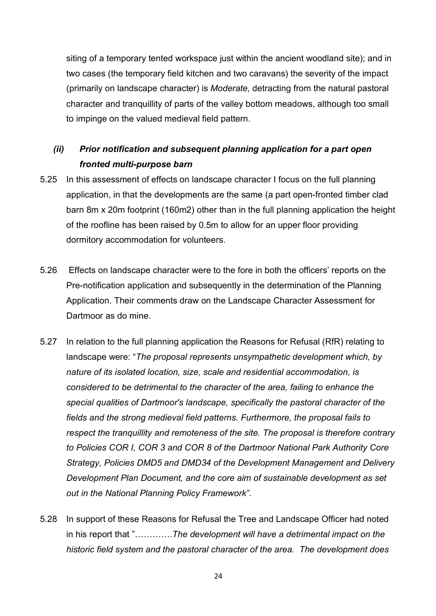siting of a temporary tented workspace just within the ancient woodland site); and in two cases (the temporary field kitchen and two caravans) the severity of the impact (primarily on landscape character) is *Moderate,* detracting from the natural pastoral character and tranquillity of parts of the valley bottom meadows, although too small to impinge on the valued medieval field pattern.

# *(ii) Prior notification and subsequent planning application for a part open fronted multi-purpose barn*

- 5.25 In this assessment of effects on landscape character I focus on the full planning application, in that the developments are the same (a part open-fronted timber clad barn 8m x 20m footprint (160m2) other than in the full planning application the height of the roofline has been raised by 0.5m to allow for an upper floor providing dormitory accommodation for volunteers.
- 5.26 Effects on landscape character were to the fore in both the officers' reports on the Pre-notification application and subsequently in the determination of the Planning Application. Their comments draw on the Landscape Character Assessment for Dartmoor as do mine.
- 5.27 In relation to the full planning application the Reasons for Refusal (RfR) relating to landscape were: "*The proposal represents unsympathetic development which, by nature of its isolated location, size, scale and residential accommodation, is considered to be detrimental to the character of the area, failing to enhance the special qualities of Dartmoor's landscape, specifically the pastoral character of the fields and the strong medieval field patterns. Furthermore, the proposal fails to respect the tranquillity and remoteness of the site. The proposal is therefore contrary to Policies COR I, COR 3 and COR 8 of the Dartmoor National Park Authority Core Strategy, Policies DMD5 and DMD34 of the Development Management and Delivery Development Plan Document, and the core aim of sustainable development as set out in the National Planning Policy Framework"*.
- 5.28 In support of these Reasons for Refusal the Tree and Landscape Officer had noted in his report that "………….*The development will have a detrimental impact on the historic field system and the pastoral character of the area. The development does*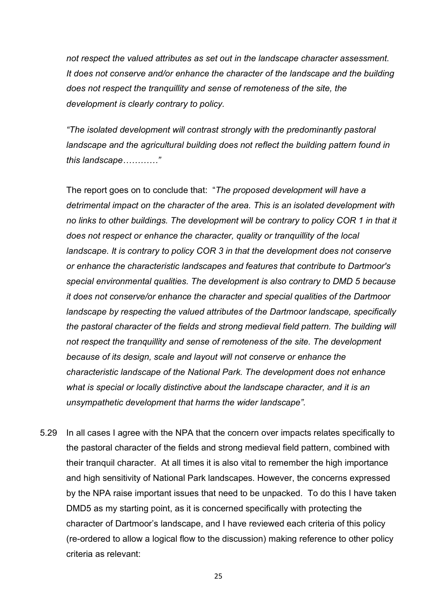*not respect the valued attributes as set out in the landscape character assessment. It does not conserve and/or enhance the character of the landscape and the building does not respect the tranquillity and sense of remoteness of the site, the development is clearly contrary to policy.*

*"The isolated development will contrast strongly with the predominantly pastoral landscape and the agricultural building does not reflect the building pattern found in this landscape…………"* 

The report goes on to conclude that: "*The proposed development will have a detrimental impact on the character of the area. This is an isolated development with no links to other buildings. The development will be contrary to policy COR 1 in that it does not respect or enhance the character, quality or tranquillity of the local landscape. It is contrary to policy COR 3 in that the development does not conserve or enhance the characteristic landscapes and features that contribute to Dartmoor's special environmental qualities. The development is also contrary to DMD 5 because it does not conserve/or enhance the character and special qualities of the Dartmoor landscape by respecting the valued attributes of the Dartmoor landscape, specifically the pastoral character of the fields and strong medieval field pattern. The building will not respect the tranquillity and sense of remoteness of the site. The development because of its design, scale and layout will not conserve or enhance the characteristic landscape of the National Park. The development does not enhance*  what is special or locally distinctive about the landscape character, and it is an *unsympathetic development that harms the wider landscape".*

5.29 In all cases I agree with the NPA that the concern over impacts relates specifically to the pastoral character of the fields and strong medieval field pattern, combined with their tranquil character. At all times it is also vital to remember the high importance and high sensitivity of National Park landscapes. However, the concerns expressed by the NPA raise important issues that need to be unpacked. To do this I have taken DMD5 as my starting point, as it is concerned specifically with protecting the character of Dartmoor's landscape, and I have reviewed each criteria of this policy (re-ordered to allow a logical flow to the discussion) making reference to other policy criteria as relevant: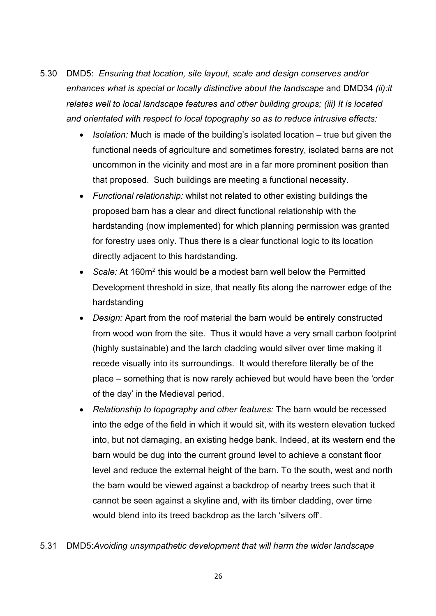- 5.30 DMD5: *Ensuring that location, site layout, scale and design conserves and/or enhances what is special or locally distinctive about the landscape* and DMD34 *(ii):it relates well to local landscape features and other building groups; (iii) It is located and orientated with respect to local topography so as to reduce intrusive effects:* 
	- *Isolation:* Much is made of the building's isolated location true but given the functional needs of agriculture and sometimes forestry, isolated barns are not uncommon in the vicinity and most are in a far more prominent position than that proposed. Such buildings are meeting a functional necessity.
	- *Functional relationship:* whilst not related to other existing buildings the proposed barn has a clear and direct functional relationship with the hardstanding (now implemented) for which planning permission was granted for forestry uses only. Thus there is a clear functional logic to its location directly adjacent to this hardstanding.
	- *Scale:* At 160m2 this would be a modest barn well below the Permitted Development threshold in size, that neatly fits along the narrower edge of the hardstanding
	- *Design:* Apart from the roof material the barn would be entirely constructed from wood won from the site. Thus it would have a very small carbon footprint (highly sustainable) and the larch cladding would silver over time making it recede visually into its surroundings. It would therefore literally be of the place – something that is now rarely achieved but would have been the 'order of the day' in the Medieval period.
	- *Relationship to topography and other features:* The barn would be recessed into the edge of the field in which it would sit, with its western elevation tucked into, but not damaging, an existing hedge bank. Indeed, at its western end the barn would be dug into the current ground level to achieve a constant floor level and reduce the external height of the barn. To the south, west and north the barn would be viewed against a backdrop of nearby trees such that it cannot be seen against a skyline and, with its timber cladding, over time would blend into its treed backdrop as the larch 'silvers off'.

## 5.31 DMD5:*Avoiding unsympathetic development that will harm the wider landscape*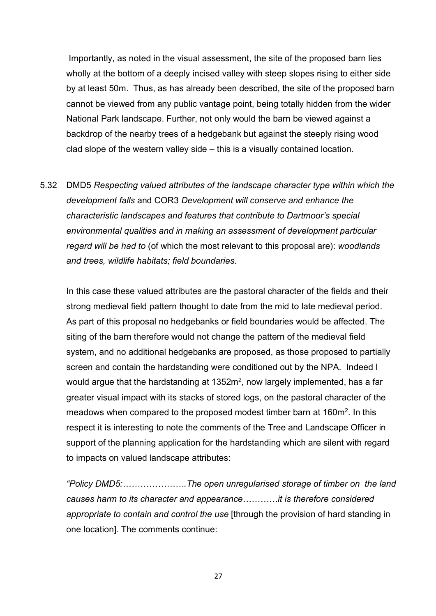Importantly, as noted in the visual assessment, the site of the proposed barn lies wholly at the bottom of a deeply incised valley with steep slopes rising to either side by at least 50m. Thus, as has already been described, the site of the proposed barn cannot be viewed from any public vantage point, being totally hidden from the wider National Park landscape. Further, not only would the barn be viewed against a backdrop of the nearby trees of a hedgebank but against the steeply rising wood clad slope of the western valley side – this is a visually contained location.

5.32 DMD5 *Respecting valued attributes of the landscape character type within which the development falls* and COR3 *Development will conserve and enhance the characteristic landscapes and features that contribute to Dartmoor's special environmental qualities and in making an assessment of development particular regard will be had to* (of which the most relevant to this proposal are): *woodlands and trees, wildlife habitats; field boundaries.* 

In this case these valued attributes are the pastoral character of the fields and their strong medieval field pattern thought to date from the mid to late medieval period. As part of this proposal no hedgebanks or field boundaries would be affected. The siting of the barn therefore would not change the pattern of the medieval field system, and no additional hedgebanks are proposed, as those proposed to partially screen and contain the hardstanding were conditioned out by the NPA. Indeed I would argue that the hardstanding at 1352m<sup>2</sup>, now largely implemented, has a far greater visual impact with its stacks of stored logs, on the pastoral character of the meadows when compared to the proposed modest timber barn at 160m<sup>2</sup>. In this respect it is interesting to note the comments of the Tree and Landscape Officer in support of the planning application for the hardstanding which are silent with regard to impacts on valued landscape attributes:

*"Policy DMD5:………………….The open unregularised storage of timber on the land causes harm to its character and appearance…………it is therefore considered appropriate to contain and control the use* [through the provision of hard standing in one location]*.* The comments continue: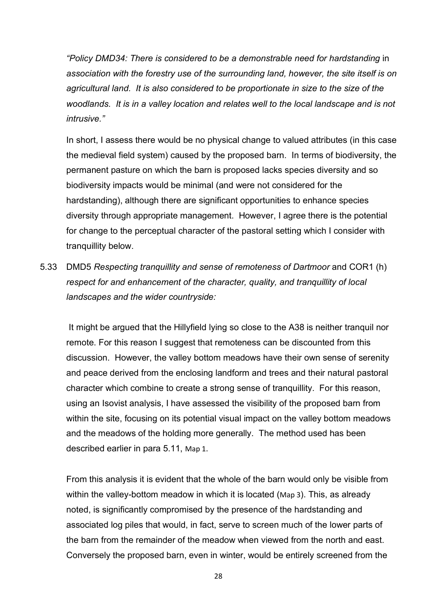*"Policy DMD34: There is considered to be a demonstrable need for hardstanding* in *association with the forestry use of the surrounding land, however, the site itself is on agricultural land. It is also considered to be proportionate in size to the size of the*  woodlands. It is in a valley location and relates well to the local landscape and is not *intrusive."* 

In short, I assess there would be no physical change to valued attributes (in this case the medieval field system) caused by the proposed barn. In terms of biodiversity, the permanent pasture on which the barn is proposed lacks species diversity and so biodiversity impacts would be minimal (and were not considered for the hardstanding), although there are significant opportunities to enhance species diversity through appropriate management. However, I agree there is the potential for change to the perceptual character of the pastoral setting which I consider with tranquillity below.

5.33 DMD5 *Respecting tranquillity and sense of remoteness of Dartmoor* and COR1 (h) *respect for and enhancement of the character, quality, and tranquillity of local landscapes and the wider countryside:*

It might be argued that the Hillyfield lying so close to the A38 is neither tranquil nor remote. For this reason I suggest that remoteness can be discounted from this discussion. However, the valley bottom meadows have their own sense of serenity and peace derived from the enclosing landform and trees and their natural pastoral character which combine to create a strong sense of tranquillity. For this reason, using an Isovist analysis, I have assessed the visibility of the proposed barn from within the site, focusing on its potential visual impact on the valley bottom meadows and the meadows of the holding more generally. The method used has been described earlier in para 5.11, Map 1.

From this analysis it is evident that the whole of the barn would only be visible from within the valley-bottom meadow in which it is located (Map 3). This, as already noted, is significantly compromised by the presence of the hardstanding and associated log piles that would, in fact, serve to screen much of the lower parts of the barn from the remainder of the meadow when viewed from the north and east. Conversely the proposed barn, even in winter, would be entirely screened from the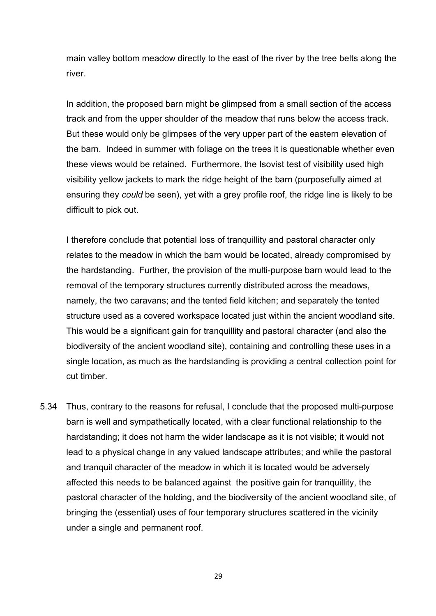main valley bottom meadow directly to the east of the river by the tree belts along the river.

In addition, the proposed barn might be glimpsed from a small section of the access track and from the upper shoulder of the meadow that runs below the access track. But these would only be glimpses of the very upper part of the eastern elevation of the barn. Indeed in summer with foliage on the trees it is questionable whether even these views would be retained. Furthermore, the Isovist test of visibility used high visibility yellow jackets to mark the ridge height of the barn (purposefully aimed at ensuring they *could* be seen), yet with a grey profile roof, the ridge line is likely to be difficult to pick out.

I therefore conclude that potential loss of tranquillity and pastoral character only relates to the meadow in which the barn would be located, already compromised by the hardstanding. Further, the provision of the multi-purpose barn would lead to the removal of the temporary structures currently distributed across the meadows, namely, the two caravans; and the tented field kitchen; and separately the tented structure used as a covered workspace located just within the ancient woodland site. This would be a significant gain for tranquillity and pastoral character (and also the biodiversity of the ancient woodland site), containing and controlling these uses in a single location, as much as the hardstanding is providing a central collection point for cut timber.

5.34 Thus, contrary to the reasons for refusal, I conclude that the proposed multi-purpose barn is well and sympathetically located, with a clear functional relationship to the hardstanding; it does not harm the wider landscape as it is not visible; it would not lead to a physical change in any valued landscape attributes; and while the pastoral and tranquil character of the meadow in which it is located would be adversely affected this needs to be balanced against the positive gain for tranquillity, the pastoral character of the holding, and the biodiversity of the ancient woodland site, of bringing the (essential) uses of four temporary structures scattered in the vicinity under a single and permanent roof.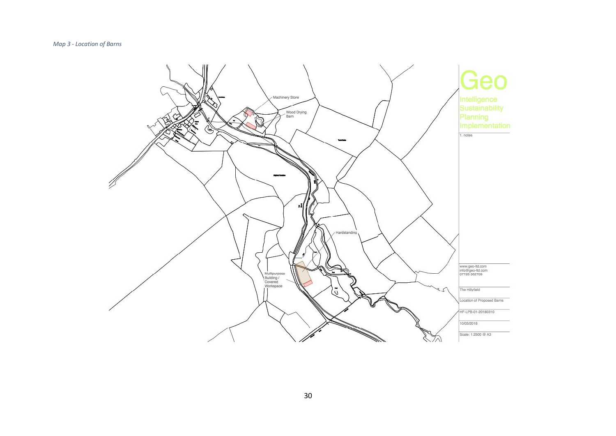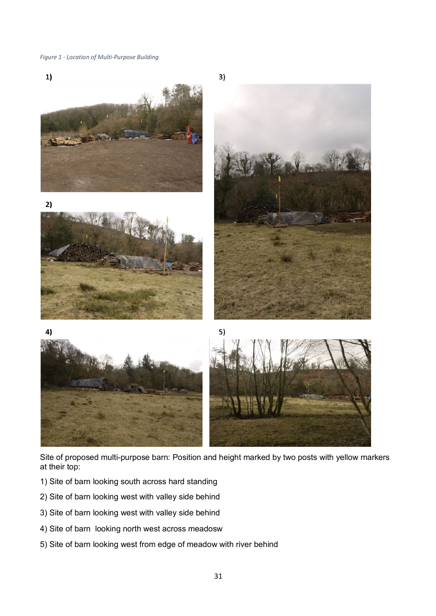#### *Figure 1 - Location of Multi-Purpose Building*



Site of proposed multi-purpose barn: Position and height marked by two posts with yellow markers at their top:

- 1) Site of barn looking south across hard standing
- 2) Site of barn looking west with valley side behind
- 3) Site of barn looking west with valley side behind
- 4) Site of barn looking north west across meadosw
- 5) Site of barn looking west from edge of meadow with river behind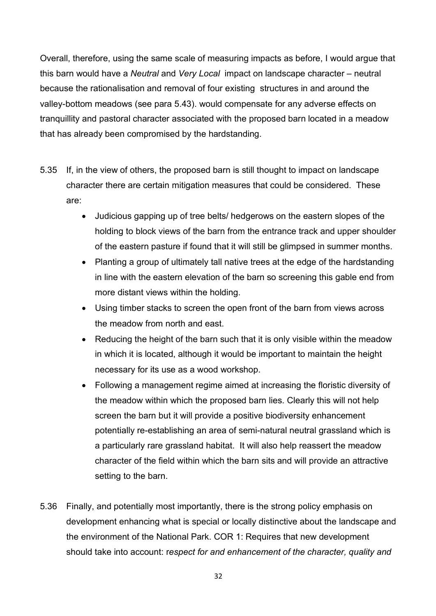Overall, therefore, using the same scale of measuring impacts as before, I would argue that this barn would have a *Neutral* and *Very Local* impact on landscape character – neutral because the rationalisation and removal of four existing structures in and around the valley-bottom meadows (see para 5.43). would compensate for any adverse effects on tranquillity and pastoral character associated with the proposed barn located in a meadow that has already been compromised by the hardstanding.

- 5.35 If, in the view of others, the proposed barn is still thought to impact on landscape character there are certain mitigation measures that could be considered. These are:
	- Judicious gapping up of tree belts/ hedgerows on the eastern slopes of the holding to block views of the barn from the entrance track and upper shoulder of the eastern pasture if found that it will still be glimpsed in summer months.
	- Planting a group of ultimately tall native trees at the edge of the hardstanding in line with the eastern elevation of the barn so screening this gable end from more distant views within the holding.
	- Using timber stacks to screen the open front of the barn from views across the meadow from north and east.
	- Reducing the height of the barn such that it is only visible within the meadow in which it is located, although it would be important to maintain the height necessary for its use as a wood workshop.
	- Following a management regime aimed at increasing the floristic diversity of the meadow within which the proposed barn lies. Clearly this will not help screen the barn but it will provide a positive biodiversity enhancement potentially re-establishing an area of semi-natural neutral grassland which is a particularly rare grassland habitat. It will also help reassert the meadow character of the field within which the barn sits and will provide an attractive setting to the barn.
- 5.36 Finally, and potentially most importantly, there is the strong policy emphasis on development enhancing what is special or locally distinctive about the landscape and the environment of the National Park. COR 1: Requires that new development should take into account: r*espect for and enhancement of the character, quality and*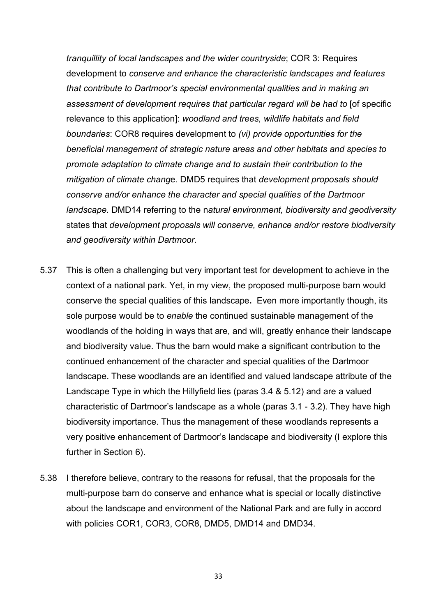*tranquillity of local landscapes and the wider countryside*; COR 3: Requires development to *conserve and enhance the characteristic landscapes and features that contribute to Dartmoor's special environmental qualities and in making an assessment of development requires that particular regard will be had to* [of specific relevance to this application]: *woodland and trees, wildlife habitats and field boundaries*: COR8 requires development to *(vi) provide opportunities for the beneficial management of strategic nature areas and other habitats and species to promote adaptation to climate change and to sustain their contribution to the mitigation of climate chang*e. DMD5 requires that *development proposals should conserve and/or enhance the character and special qualities of the Dartmoor landscape.* DMD14 referring to the n*atural environment, biodiversity and geodiversity*  states that *development proposals will conserve, enhance and/or restore biodiversity and geodiversity within Dartmoor.* 

- 5.37 This is often a challenging but very important test for development to achieve in the context of a national park. Yet, in my view, the proposed multi-purpose barn would conserve the special qualities of this landscape**.** Even more importantly though, its sole purpose would be to *enable* the continued sustainable management of the woodlands of the holding in ways that are, and will, greatly enhance their landscape and biodiversity value. Thus the barn would make a significant contribution to the continued enhancement of the character and special qualities of the Dartmoor landscape. These woodlands are an identified and valued landscape attribute of the Landscape Type in which the Hillyfield lies (paras 3.4 & 5.12) and are a valued characteristic of Dartmoor's landscape as a whole (paras 3.1 - 3.2). They have high biodiversity importance. Thus the management of these woodlands represents a very positive enhancement of Dartmoor's landscape and biodiversity (I explore this further in Section 6).
- 5.38 I therefore believe, contrary to the reasons for refusal, that the proposals for the multi-purpose barn do conserve and enhance what is special or locally distinctive about the landscape and environment of the National Park and are fully in accord with policies COR1, COR3, COR8, DMD5, DMD14 and DMD34.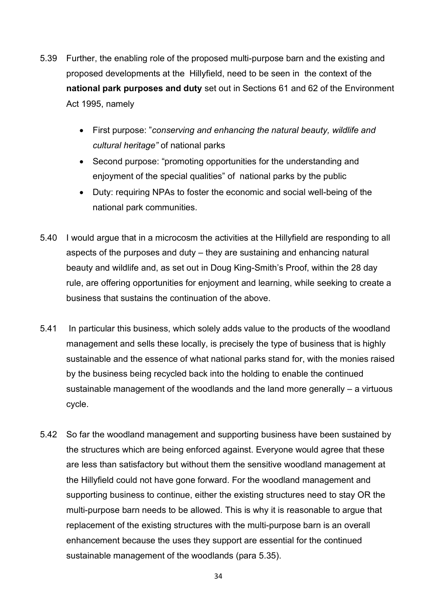- 5.39 Further, the enabling role of the proposed multi-purpose barn and the existing and proposed developments at the Hillyfield, need to be seen in the context of the **national park purposes and duty** set out in Sections 61 and 62 of the Environment Act 1995, namely
	- First purpose: "*conserving and enhancing the natural beauty, wildlife and cultural heritage"* of national parks
	- Second purpose: "promoting opportunities for the understanding and enjoyment of the special qualities" of national parks by the public
	- Duty: requiring NPAs to foster the economic and social well-being of the national park communities.
- 5.40 I would argue that in a microcosm the activities at the Hillyfield are responding to all aspects of the purposes and duty – they are sustaining and enhancing natural beauty and wildlife and, as set out in Doug King-Smith's Proof, within the 28 day rule, are offering opportunities for enjoyment and learning, while seeking to create a business that sustains the continuation of the above.
- 5.41 In particular this business, which solely adds value to the products of the woodland management and sells these locally, is precisely the type of business that is highly sustainable and the essence of what national parks stand for, with the monies raised by the business being recycled back into the holding to enable the continued sustainable management of the woodlands and the land more generally – a virtuous cycle.
- 5.42 So far the woodland management and supporting business have been sustained by the structures which are being enforced against. Everyone would agree that these are less than satisfactory but without them the sensitive woodland management at the Hillyfield could not have gone forward. For the woodland management and supporting business to continue, either the existing structures need to stay OR the multi-purpose barn needs to be allowed. This is why it is reasonable to argue that replacement of the existing structures with the multi-purpose barn is an overall enhancement because the uses they support are essential for the continued sustainable management of the woodlands (para 5.35).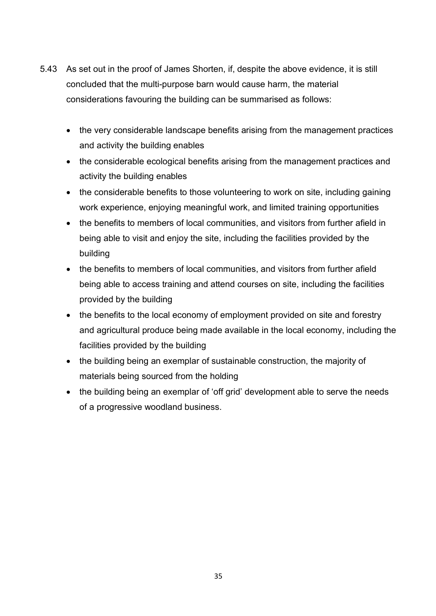- 5.43 As set out in the proof of James Shorten, if, despite the above evidence, it is still concluded that the multi-purpose barn would cause harm, the material considerations favouring the building can be summarised as follows:
	- the very considerable landscape benefits arising from the management practices and activity the building enables
	- the considerable ecological benefits arising from the management practices and activity the building enables
	- the considerable benefits to those volunteering to work on site, including gaining work experience, enjoying meaningful work, and limited training opportunities
	- the benefits to members of local communities, and visitors from further afield in being able to visit and enjoy the site, including the facilities provided by the building
	- the benefits to members of local communities, and visitors from further afield being able to access training and attend courses on site, including the facilities provided by the building
	- the benefits to the local economy of employment provided on site and forestry and agricultural produce being made available in the local economy, including the facilities provided by the building
	- the building being an exemplar of sustainable construction, the majority of materials being sourced from the holding
	- the building being an exemplar of 'off grid' development able to serve the needs of a progressive woodland business.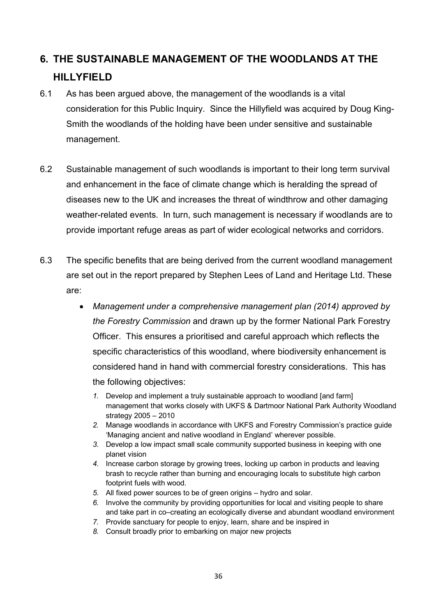# **6. THE SUSTAINABLE MANAGEMENT OF THE WOODLANDS AT THE HILLYFIELD**

- 6.1 As has been argued above, the management of the woodlands is a vital consideration for this Public Inquiry. Since the Hillyfield was acquired by Doug King-Smith the woodlands of the holding have been under sensitive and sustainable management.
- 6.2 Sustainable management of such woodlands is important to their long term survival and enhancement in the face of climate change which is heralding the spread of diseases new to the UK and increases the threat of windthrow and other damaging weather-related events. In turn, such management is necessary if woodlands are to provide important refuge areas as part of wider ecological networks and corridors.
- 6.3 The specific benefits that are being derived from the current woodland management are set out in the report prepared by Stephen Lees of Land and Heritage Ltd. These are:
	- *Management under a comprehensive management plan (2014) approved by the Forestry Commission* and drawn up by the former National Park Forestry Officer. This ensures a prioritised and careful approach which reflects the specific characteristics of this woodland, where biodiversity enhancement is considered hand in hand with commercial forestry considerations. This has the following objectives:
		- *1.* Develop and implement a truly sustainable approach to woodland [and farm] management that works closely with UKFS & Dartmoor National Park Authority Woodland strategy 2005 – 2010
		- *2.* Manage woodlands in accordance with UKFS and Forestry Commission's practice guide 'Managing ancient and native woodland in England' wherever possible.
		- *3.* Develop a low impact small scale community supported business in keeping with one planet vision
		- *4.* Increase carbon storage by growing trees, locking up carbon in products and leaving brash to recycle rather than burning and encouraging locals to substitute high carbon footprint fuels with wood.
		- *5.* All fixed power sources to be of green origins hydro and solar.
		- *6.* Involve the community by providing opportunities for local and visiting people to share and take part in co–creating an ecologically diverse and abundant woodland environment
		- *7.* Provide sanctuary for people to enjoy, learn, share and be inspired in
		- *8.* Consult broadly prior to embarking on major new projects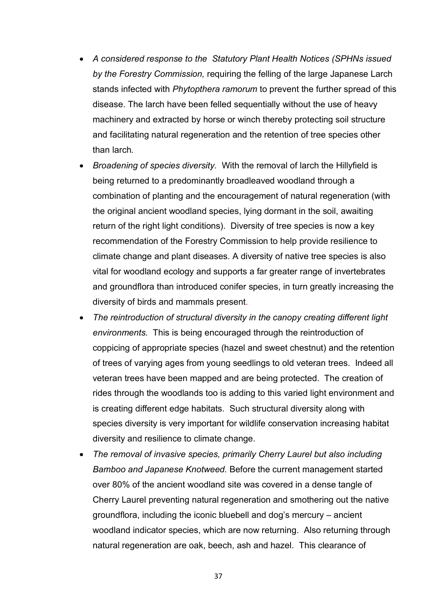- *A considered response to the Statutory Plant Health Notices (SPHNs issued by the Forestry Commission,* requiring the felling of the large Japanese Larch stands infected with *Phytopthera ramorum* to prevent the further spread of this disease. The larch have been felled sequentially without the use of heavy machinery and extracted by horse or winch thereby protecting soil structure and facilitating natural regeneration and the retention of tree species other than larch*.*
- *Broadening of species diversity.* With the removal of larch the Hillyfield is being returned to a predominantly broadleaved woodland through a combination of planting and the encouragement of natural regeneration (with the original ancient woodland species, lying dormant in the soil, awaiting return of the right light conditions). Diversity of tree species is now a key recommendation of the Forestry Commission to help provide resilience to climate change and plant diseases. A diversity of native tree species is also vital for woodland ecology and supports a far greater range of invertebrates and groundflora than introduced conifer species, in turn greatly increasing the diversity of birds and mammals present.
- *The reintroduction of structural diversity in the canopy creating different light environments.* This is being encouraged through the reintroduction of coppicing of appropriate species (hazel and sweet chestnut) and the retention of trees of varying ages from young seedlings to old veteran trees. Indeed all veteran trees have been mapped and are being protected. The creation of rides through the woodlands too is adding to this varied light environment and is creating different edge habitats. Such structural diversity along with species diversity is very important for wildlife conservation increasing habitat diversity and resilience to climate change.
- *The removal of invasive species, primarily Cherry Laurel but also including Bamboo and Japanese Knotweed.* Before the current management started over 80% of the ancient woodland site was covered in a dense tangle of Cherry Laurel preventing natural regeneration and smothering out the native groundflora, including the iconic bluebell and dog's mercury – ancient woodland indicator species, which are now returning. Also returning through natural regeneration are oak, beech, ash and hazel. This clearance of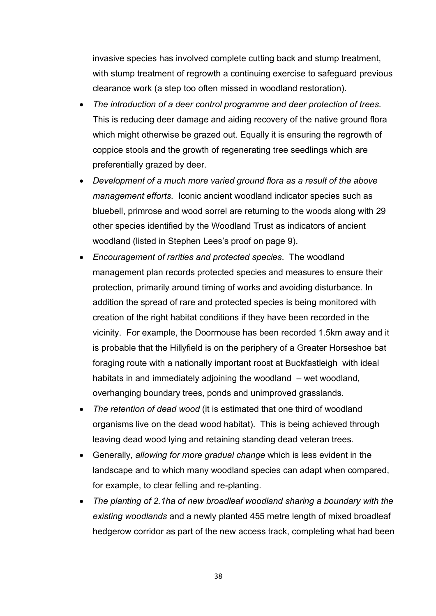invasive species has involved complete cutting back and stump treatment, with stump treatment of regrowth a continuing exercise to safeguard previous clearance work (a step too often missed in woodland restoration).

- *The introduction of a deer control programme and deer protection of trees.*  This is reducing deer damage and aiding recovery of the native ground flora which might otherwise be grazed out. Equally it is ensuring the regrowth of coppice stools and the growth of regenerating tree seedlings which are preferentially grazed by deer.
- *Development of a much more varied ground flora as a result of the above management efforts*. Iconic ancient woodland indicator species such as bluebell, primrose and wood sorrel are returning to the woods along with 29 other species identified by the Woodland Trust as indicators of ancient woodland (listed in Stephen Lees's proof on page 9).
- *Encouragement of rarities and protected species*. The woodland management plan records protected species and measures to ensure their protection, primarily around timing of works and avoiding disturbance. In addition the spread of rare and protected species is being monitored with creation of the right habitat conditions if they have been recorded in the vicinity. For example, the Doormouse has been recorded 1.5km away and it is probable that the Hillyfield is on the periphery of a Greater Horseshoe bat foraging route with a nationally important roost at Buckfastleigh with ideal habitats in and immediately adjoining the woodland – wet woodland, overhanging boundary trees, ponds and unimproved grasslands.
- *The retention of dead wood* (it is estimated that one third of woodland organisms live on the dead wood habitat). This is being achieved through leaving dead wood lying and retaining standing dead veteran trees.
- Generally, *allowing for more gradual change* which is less evident in the landscape and to which many woodland species can adapt when compared, for example, to clear felling and re-planting.
- *The planting of 2.1ha of new broadleaf woodland sharing a boundary with the existing woodlands* and a newly planted 455 metre length of mixed broadleaf hedgerow corridor as part of the new access track, completing what had been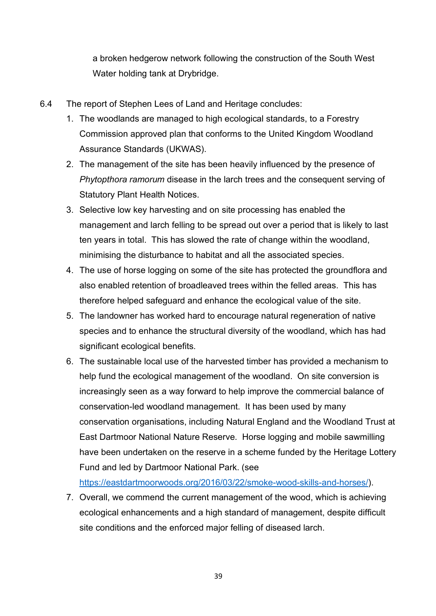a broken hedgerow network following the construction of the South West Water holding tank at Drybridge.

- 6.4 The report of Stephen Lees of Land and Heritage concludes:
	- 1. The woodlands are managed to high ecological standards, to a Forestry Commission approved plan that conforms to the United Kingdom Woodland Assurance Standards (UKWAS).
	- 2. The management of the site has been heavily influenced by the presence of *Phytopthora ramorum* disease in the larch trees and the consequent serving of Statutory Plant Health Notices.
	- 3. Selective low key harvesting and on site processing has enabled the management and larch felling to be spread out over a period that is likely to last ten years in total. This has slowed the rate of change within the woodland, minimising the disturbance to habitat and all the associated species.
	- 4. The use of horse logging on some of the site has protected the groundflora and also enabled retention of broadleaved trees within the felled areas. This has therefore helped safeguard and enhance the ecological value of the site.
	- 5. The landowner has worked hard to encourage natural regeneration of native species and to enhance the structural diversity of the woodland, which has had significant ecological benefits.
	- 6. The sustainable local use of the harvested timber has provided a mechanism to help fund the ecological management of the woodland. On site conversion is increasingly seen as a way forward to help improve the commercial balance of conservation-led woodland management. It has been used by many conservation organisations, including Natural England and the Woodland Trust at East Dartmoor National Nature Reserve. Horse logging and mobile sawmilling have been undertaken on the reserve in a scheme funded by the Heritage Lottery Fund and led by Dartmoor National Park. (see

https://eastdartmoorwoods.org/2016/03/22/smoke-wood-skills-and-horses/).

7. Overall, we commend the current management of the wood, which is achieving ecological enhancements and a high standard of management, despite difficult site conditions and the enforced major felling of diseased larch.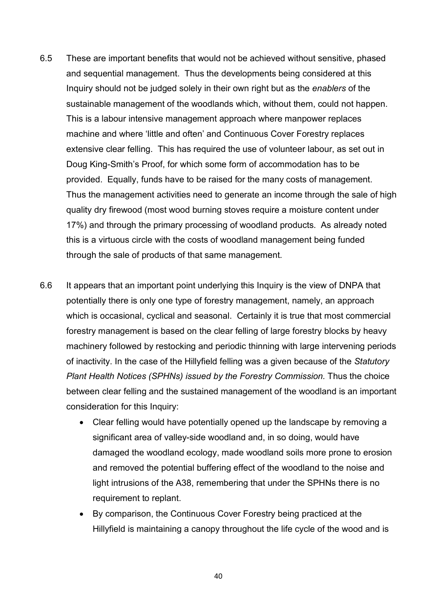- 6.5 These are important benefits that would not be achieved without sensitive, phased and sequential management. Thus the developments being considered at this Inquiry should not be judged solely in their own right but as the *enablers* of the sustainable management of the woodlands which, without them, could not happen. This is a labour intensive management approach where manpower replaces machine and where 'little and often' and Continuous Cover Forestry replaces extensive clear felling. This has required the use of volunteer labour, as set out in Doug King-Smith's Proof, for which some form of accommodation has to be provided. Equally, funds have to be raised for the many costs of management. Thus the management activities need to generate an income through the sale of high quality dry firewood (most wood burning stoves require a moisture content under 17%) and through the primary processing of woodland products. As already noted this is a virtuous circle with the costs of woodland management being funded through the sale of products of that same management.
- 6.6 It appears that an important point underlying this Inquiry is the view of DNPA that potentially there is only one type of forestry management, namely, an approach which is occasional, cyclical and seasonal. Certainly it is true that most commercial forestry management is based on the clear felling of large forestry blocks by heavy machinery followed by restocking and periodic thinning with large intervening periods of inactivity. In the case of the Hillyfield felling was a given because of the *Statutory Plant Health Notices (SPHNs) issued by the Forestry Commission.* Thus the choice between clear felling and the sustained management of the woodland is an important consideration for this Inquiry:
	- Clear felling would have potentially opened up the landscape by removing a significant area of valley-side woodland and, in so doing, would have damaged the woodland ecology, made woodland soils more prone to erosion and removed the potential buffering effect of the woodland to the noise and light intrusions of the A38, remembering that under the SPHNs there is no requirement to replant.
	- By comparison, the Continuous Cover Forestry being practiced at the Hillyfield is maintaining a canopy throughout the life cycle of the wood and is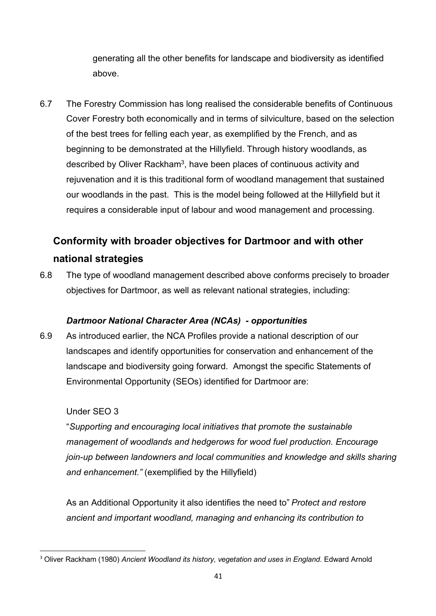generating all the other benefits for landscape and biodiversity as identified above.

6.7 The Forestry Commission has long realised the considerable benefits of Continuous Cover Forestry both economically and in terms of silviculture, based on the selection of the best trees for felling each year, as exemplified by the French, and as beginning to be demonstrated at the Hillyfield. Through history woodlands, as described by Oliver Rackham3, have been places of continuous activity and rejuvenation and it is this traditional form of woodland management that sustained our woodlands in the past. This is the model being followed at the Hillyfield but it requires a considerable input of labour and wood management and processing.

# **Conformity with broader objectives for Dartmoor and with other national strategies**

6.8 The type of woodland management described above conforms precisely to broader objectives for Dartmoor, as well as relevant national strategies, including:

## *Dartmoor National Character Area (NCAs) - opportunities*

6.9 As introduced earlier, the NCA Profiles provide a national description of our landscapes and identify opportunities for conservation and enhancement of the landscape and biodiversity going forward. Amongst the specific Statements of Environmental Opportunity (SEOs) identified for Dartmoor are:

## Under SEO 3

"*Supporting and encouraging local initiatives that promote the sustainable management of woodlands and hedgerows for wood fuel production. Encourage join-up between landowners and local communities and knowledge and skills sharing and enhancement."* (exemplified by the Hillyfield)

As an Additional Opportunity it also identifies the need to" *Protect and restore ancient and important woodland, managing and enhancing its contribution to* 

 <sup>3</sup> Oliver Rackham (1980) *Ancient Woodland its history, vegetation and uses in England*. Edward Arnold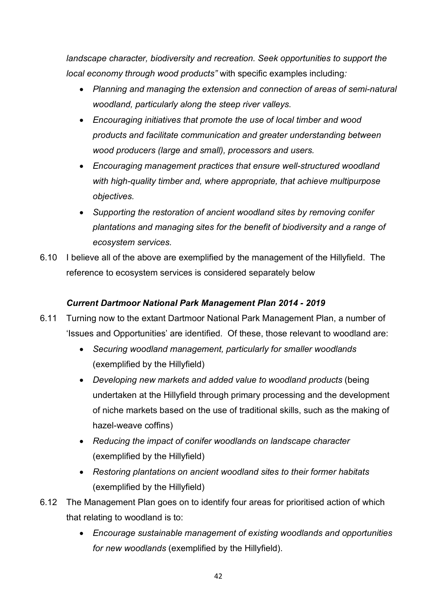*landscape character, biodiversity and recreation. Seek opportunities to support the local economy through wood products"* with specific examples including*:*

- *Planning and managing the extension and connection of areas of semi-natural woodland, particularly along the steep river valleys.*
- *Encouraging initiatives that promote the use of local timber and wood products and facilitate communication and greater understanding between wood producers (large and small), processors and users.*
- *Encouraging management practices that ensure well-structured woodland with high-quality timber and, where appropriate, that achieve multipurpose objectives.*
- *Supporting the restoration of ancient woodland sites by removing conifer plantations and managing sites for the benefit of biodiversity and a range of ecosystem services.*
- 6.10 I believe all of the above are exemplified by the management of the Hillyfield. The reference to ecosystem services is considered separately below

## *Current Dartmoor National Park Management Plan 2014 - 2019*

- 6.11 Turning now to the extant Dartmoor National Park Management Plan, a number of 'Issues and Opportunities' are identified. Of these, those relevant to woodland are:
	- *Securing woodland management, particularly for smaller woodlands*  (exemplified by the Hillyfield)
	- *Developing new markets and added value to woodland products* (being undertaken at the Hillyfield through primary processing and the development of niche markets based on the use of traditional skills, such as the making of hazel-weave coffins)
	- *Reducing the impact of conifer woodlands on landscape character*  (exemplified by the Hillyfield)
	- *Restoring plantations on ancient woodland sites to their former habitats* (exemplified by the Hillyfield)
- 6.12 The Management Plan goes on to identify four areas for prioritised action of which that relating to woodland is to:
	- *Encourage sustainable management of existing woodlands and opportunities for new woodlands* (exemplified by the Hillyfield).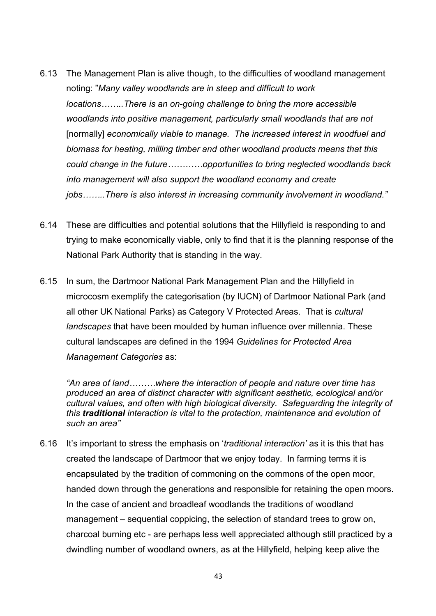- 6.13 The Management Plan is alive though, to the difficulties of woodland management noting: "*Many valley woodlands are in steep and difficult to work locations……..There is an on-going challenge to bring the more accessible woodlands into positive management, particularly small woodlands that are not*  [normally] *economically viable to manage. The increased interest in woodfuel and biomass for heating, milling timber and other woodland products means that this could change in the future…………opportunities to bring neglected woodlands back into management will also support the woodland economy and create jobs……..There is also interest in increasing community involvement in woodland."*
- 6.14 These are difficulties and potential solutions that the Hillyfield is responding to and trying to make economically viable, only to find that it is the planning response of the National Park Authority that is standing in the way.
- 6.15 In sum, the Dartmoor National Park Management Plan and the Hillyfield in microcosm exemplify the categorisation (by IUCN) of Dartmoor National Park (and all other UK National Parks) as Category V Protected Areas. That is *cultural landscapes* that have been moulded by human influence over millennia. These cultural landscapes are defined in the 1994 *Guidelines for Protected Area Management Categories* as:

*"An area of land………where the interaction of people and nature over time has produced an area of distinct character with significant aesthetic, ecological and/or cultural values, and often with high biological diversity. Safeguarding the integrity of this traditional interaction is vital to the protection, maintenance and evolution of such an area"*

6.16 It's important to stress the emphasis on '*traditional interaction'* as it is this that has created the landscape of Dartmoor that we enjoy today. In farming terms it is encapsulated by the tradition of commoning on the commons of the open moor, handed down through the generations and responsible for retaining the open moors. In the case of ancient and broadleaf woodlands the traditions of woodland management – sequential coppicing, the selection of standard trees to grow on, charcoal burning etc - are perhaps less well appreciated although still practiced by a dwindling number of woodland owners, as at the Hillyfield, helping keep alive the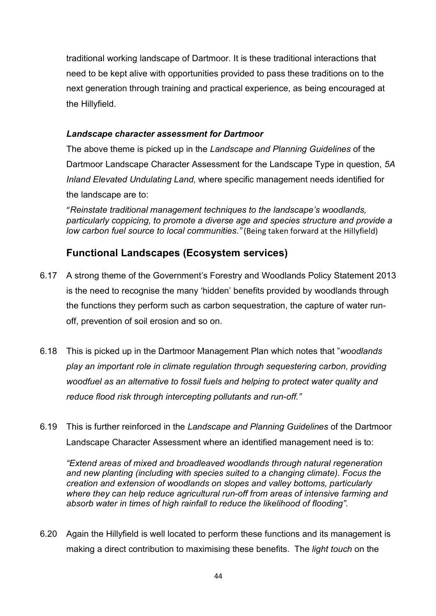traditional working landscape of Dartmoor. It is these traditional interactions that need to be kept alive with opportunities provided to pass these traditions on to the next generation through training and practical experience, as being encouraged at the Hillyfield.

#### *Landscape character assessment for Dartmoor*

The above theme is picked up in the *Landscape and Planning Guidelines* of the Dartmoor Landscape Character Assessment for the Landscape Type in question, *5A Inland Elevated Undulating Land,* where specific management needs identified for the landscape are to:

"*Reinstate traditional management techniques to the landscape's woodlands, particularly coppicing, to promote a diverse age and species structure and provide a low carbon fuel source to local communities."* (Being taken forward at the Hillyfield)

# **Functional Landscapes (Ecosystem services)**

- 6.17 A strong theme of the Government's Forestry and Woodlands Policy Statement 2013 is the need to recognise the many 'hidden' benefits provided by woodlands through the functions they perform such as carbon sequestration, the capture of water runoff, prevention of soil erosion and so on.
- 6.18 This is picked up in the Dartmoor Management Plan which notes that "*woodlands play an important role in climate regulation through sequestering carbon, providing woodfuel as an alternative to fossil fuels and helping to protect water quality and reduce flood risk through intercepting pollutants and run-off."*
- 6.19 This is further reinforced in the *Landscape and Planning Guidelines* of the Dartmoor Landscape Character Assessment where an identified management need is to:

*"Extend areas of mixed and broadleaved woodlands through natural regeneration and new planting (including with species suited to a changing climate). Focus the creation and extension of woodlands on slopes and valley bottoms, particularly where they can help reduce agricultural run-off from areas of intensive farming and absorb water in times of high rainfall to reduce the likelihood of flooding".*

6.20 Again the Hillyfield is well located to perform these functions and its management is making a direct contribution to maximising these benefits. The *light touch* on the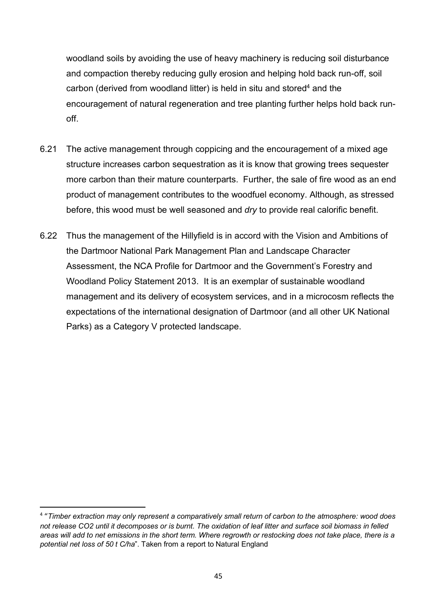woodland soils by avoiding the use of heavy machinery is reducing soil disturbance and compaction thereby reducing gully erosion and helping hold back run-off, soil carbon (derived from woodland litter) is held in situ and stored<sup>4</sup> and the encouragement of natural regeneration and tree planting further helps hold back runoff.

- 6.21 The active management through coppicing and the encouragement of a mixed age structure increases carbon sequestration as it is know that growing trees sequester more carbon than their mature counterparts. Further, the sale of fire wood as an end product of management contributes to the woodfuel economy. Although, as stressed before, this wood must be well seasoned and *dry* to provide real calorific benefit.
- 6.22 Thus the management of the Hillyfield is in accord with the Vision and Ambitions of the Dartmoor National Park Management Plan and Landscape Character Assessment, the NCA Profile for Dartmoor and the Government's Forestry and Woodland Policy Statement 2013. It is an exemplar of sustainable woodland management and its delivery of ecosystem services, and in a microcosm reflects the expectations of the international designation of Dartmoor (and all other UK National Parks) as a Category V protected landscape.

 <sup>4</sup> "*Timber extraction may only represent a comparatively small return of carbon to the atmosphere: wood does not release CO2 until it decomposes or is burnt. The oxidation of leaf litter and surface soil biomass in felled areas will add to net emissions in the short term. Where regrowth or restocking does not take place, there is a potential net loss of 50 t C/ha*". Taken from a report to Natural England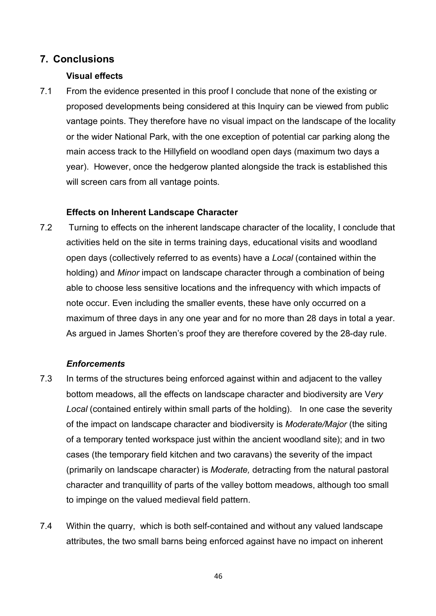## **7. Conclusions**

#### **Visual effects**

7.1 From the evidence presented in this proof I conclude that none of the existing or proposed developments being considered at this Inquiry can be viewed from public vantage points. They therefore have no visual impact on the landscape of the locality or the wider National Park, with the one exception of potential car parking along the main access track to the Hillyfield on woodland open days (maximum two days a year). However, once the hedgerow planted alongside the track is established this will screen cars from all vantage points.

#### **Effects on Inherent Landscape Character**

7.2 Turning to effects on the inherent landscape character of the locality, I conclude that activities held on the site in terms training days, educational visits and woodland open days (collectively referred to as events) have a *Local* (contained within the holding) and *Minor* impact on landscape character through a combination of being able to choose less sensitive locations and the infrequency with which impacts of note occur. Even including the smaller events, these have only occurred on a maximum of three days in any one year and for no more than 28 days in total a year. As argued in James Shorten's proof they are therefore covered by the 28-day rule.

#### *Enforcements*

- 7.3 In terms of the structures being enforced against within and adjacent to the valley bottom meadows, all the effects on landscape character and biodiversity are V*ery Local* (contained entirely within small parts of the holding). In one case the severity of the impact on landscape character and biodiversity is *Moderate/Major* (the siting of a temporary tented workspace just within the ancient woodland site); and in two cases (the temporary field kitchen and two caravans) the severity of the impact (primarily on landscape character) is *Moderate,* detracting from the natural pastoral character and tranquillity of parts of the valley bottom meadows, although too small to impinge on the valued medieval field pattern.
- 7.4 Within the quarry, which is both self-contained and without any valued landscape attributes, the two small barns being enforced against have no impact on inherent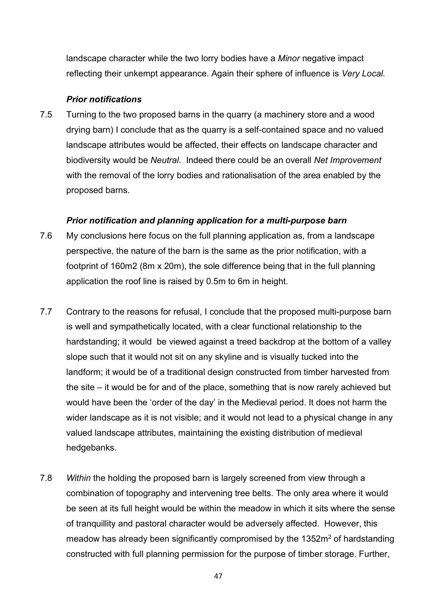landscape character while the two lorry bodies have a *Minor* negative impact reflecting their unkempt appearance. Again their sphere of influence is *Very Local.*

#### *Prior notifications*

7.5 Turning to the two proposed barns in the quarry (a machinery store and a wood drying barn) I conclude that as the quarry is a self-contained space and no valued landscape attributes would be affected, their effects on landscape character and biodiversity would be *Neutral*. Indeed there could be an overall *Net Improvement* with the removal of the lorry bodies and rationalisation of the area enabled by the proposed barns.

#### *Prior notification and planning application for a multi-purpose barn*

- 7.6 My conclusions here focus on the full planning application as, from a landscape perspective, the nature of the barn is the same as the prior notification, with a footprint of 160m2 (8m x 20m), the sole difference being that in the full planning application the roof line is raised by 0.5m to 6m in height.
- 7.7 Contrary to the reasons for refusal, I conclude that the proposed multi-purpose barn is well and sympathetically located, with a clear functional relationship to the hardstanding; it would be viewed against a treed backdrop at the bottom of a valley slope such that it would not sit on any skyline and is visually tucked into the landform; it would be of a traditional design constructed from timber harvested from the site – it would be for and of the place, something that is now rarely achieved but would have been the 'order of the day' in the Medieval period. It does not harm the wider landscape as it is not visible; and it would not lead to a physical change in any valued landscape attributes, maintaining the existing distribution of medieval hedgebanks.
- 7.8 *Within* the holding the proposed barn is largely screened from view through a combination of topography and intervening tree belts. The only area where it would be seen at its full height would be within the meadow in which it sits where the sense of tranquillity and pastoral character would be adversely affected. However, this meadow has already been significantly compromised by the 1352m<sup>2</sup> of hardstanding constructed with full planning permission for the purpose of timber storage. Further,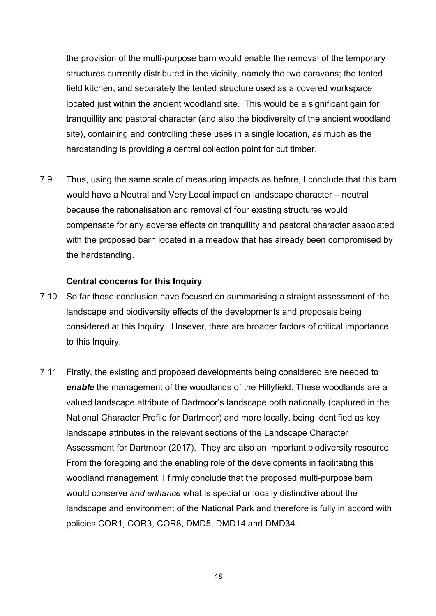the provision of the multi-purpose barn would enable the removal of the temporary structures currently distributed in the vicinity, namely the two caravans; the tented field kitchen; and separately the tented structure used as a covered workspace located just within the ancient woodland site. This would be a significant gain for tranquillity and pastoral character (and also the biodiversity of the ancient woodland site), containing and controlling these uses in a single location, as much as the hardstanding is providing a central collection point for cut timber.

7.9 Thus, using the same scale of measuring impacts as before, I conclude that this barn would have a Neutral and Very Local impact on landscape character – neutral because the rationalisation and removal of four existing structures would compensate for any adverse effects on tranquillity and pastoral character associated with the proposed barn located in a meadow that has already been compromised by the hardstanding.

#### **Central concerns for this Inquiry**

- 7.10 So far these conclusion have focused on summarising a straight assessment of the landscape and biodiversity effects of the developments and proposals being considered at this Inquiry. Hosever, there are broader factors of critical importance to this Inquiry.
- 7.11 Firstly, the existing and proposed developments being considered are needed to *enable* the management of the woodlands of the Hillyfield. These woodlands are a valued landscape attribute of Dartmoor's landscape both nationally (captured in the National Character Profile for Dartmoor) and more locally, being identified as key landscape attributes in the relevant sections of the Landscape Character Assessment for Dartmoor (2017). They are also an important biodiversity resource. From the foregoing and the enabling role of the developments in facilitating this woodland management, I firmly conclude that the proposed multi-purpose barn would conserve *and enhance* what is special or locally distinctive about the landscape and environment of the National Park and therefore is fully in accord with policies COR1, COR3, COR8, DMD5, DMD14 and DMD34.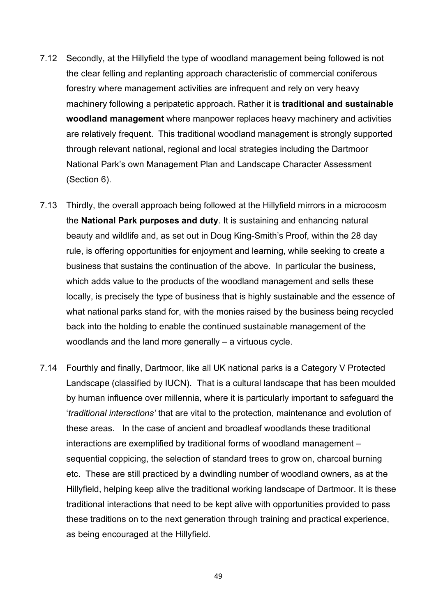- 7.12 Secondly, at the Hillyfield the type of woodland management being followed is not the clear felling and replanting approach characteristic of commercial coniferous forestry where management activities are infrequent and rely on very heavy machinery following a peripatetic approach. Rather it is **traditional and sustainable woodland management** where manpower replaces heavy machinery and activities are relatively frequent. This traditional woodland management is strongly supported through relevant national, regional and local strategies including the Dartmoor National Park's own Management Plan and Landscape Character Assessment (Section 6).
- 7.13 Thirdly, the overall approach being followed at the Hillyfield mirrors in a microcosm the **National Park purposes and duty**. It is sustaining and enhancing natural beauty and wildlife and, as set out in Doug King-Smith's Proof, within the 28 day rule, is offering opportunities for enjoyment and learning, while seeking to create a business that sustains the continuation of the above. In particular the business, which adds value to the products of the woodland management and sells these locally, is precisely the type of business that is highly sustainable and the essence of what national parks stand for, with the monies raised by the business being recycled back into the holding to enable the continued sustainable management of the woodlands and the land more generally – a virtuous cycle.
- 7.14 Fourthly and finally, Dartmoor, like all UK national parks is a Category V Protected Landscape (classified by IUCN). That is a cultural landscape that has been moulded by human influence over millennia, where it is particularly important to safeguard the '*traditional interactions'* that are vital to the protection, maintenance and evolution of these areas. In the case of ancient and broadleaf woodlands these traditional interactions are exemplified by traditional forms of woodland management – sequential coppicing, the selection of standard trees to grow on, charcoal burning etc. These are still practiced by a dwindling number of woodland owners, as at the Hillyfield, helping keep alive the traditional working landscape of Dartmoor. It is these traditional interactions that need to be kept alive with opportunities provided to pass these traditions on to the next generation through training and practical experience, as being encouraged at the Hillyfield.